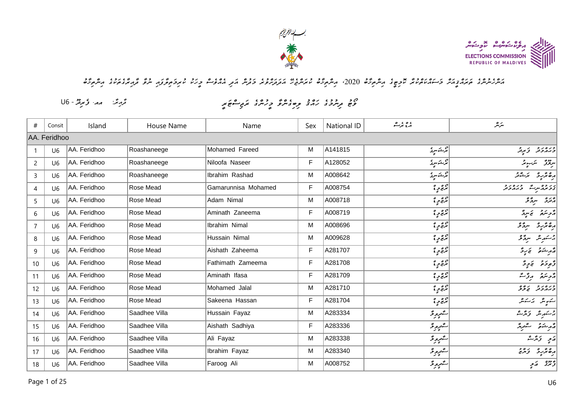



## *q9nOoAw7o<sCq;mAsCn8o<n@n=q7o<m?nBoAm>o8q;q;m5p>wEs=w<s<o@m<w7q@m>s8q=w6m@m@m<t5sKw7m8q;q9nOoAw7o<22020q9nOoAw7o<sCpHo>u;n8q;wAm;w<mEm>w6m<pYw<m8mAsCw7q7s5w7m<*

U6 - *Udiref .aa n8o<n@ p8mHwEoKm8sCw7q5p>n=w7sCo9oBqYw<m5sCq>q7o@qHv=*

| #              | Consit         | Island              | House Name    | Name                | Sex | National ID | پره پر ه                      | ىئرىتر                                         |
|----------------|----------------|---------------------|---------------|---------------------|-----|-------------|-------------------------------|------------------------------------------------|
|                | AA. Feridhoo   |                     |               |                     |     |             |                               |                                                |
|                | U <sub>6</sub> | <b>AA. Feridhoo</b> | Roashaneege   | Mohamed Fareed      | М   | A141815     | ئىزىشە سەيجە                  | ورەرو كەيدۇ.                                   |
| $\mathbf{2}$   | U <sub>6</sub> | IAA. Feridhoo       | Roashaneege   | Niloofa Naseer      | F   | A128052     | ترڪسري                        | سرچرنش سرسبانی                                 |
| 3              | U <sub>6</sub> | AA. Feridhoo        | Roashaneege   | Ibrahim Rashad      | м   | A008642     | ترىشەسرىد                     | دەنۇرو برخۇن                                   |
| 4              | U6             | AA. Feridhoo        | Rose Mead     | Gamarunnisa Mohamed | F.  | A008754     | جرج حر ۽<br>  سرج حر          | و ره ر و<br><i>و ټ</i> ه و تر<br>ترىر 29 سرىگە |
| 5              | U <sub>6</sub> | AA. Feridhoo        | Rose Mead     | Adam Nimal          | м   | A008718     | ە ھ<br>ئىرىج ج <sub>ە</sub> ؟ | سردگر<br>  پر دو                               |
| 6              | U <sub>6</sub> | AA. Feridhoo        | Rose Mead     | Aminath Zaneema     | F   | A008719     | جرج ج ع<br>  ترج ح            | قرحر سرقر<br>ئج سرچَّ                          |
| $\overline{7}$ | U <sub>6</sub> | <b>AA. Feridhoo</b> | Rose Mead     | Ibrahim Nimal       | М   | A008696     | مرج ح ع<br>  مرج ح ع          | برڭ ئېرىيى<br>سردگر                            |
| 8              | U <sub>6</sub> | <b>AA. Feridhoo</b> | Rose Mead     | Hussain Nimal       | м   | A009628     | ە ھ<br>تىرىج ج <sub>ە</sub> ي | سردگر<br>  بر سەمەر                            |
| 9              | U <sub>6</sub> | AA. Feridhoo        | Rose Mead     | Aishath Zaheema     | F   | A281707     | جرج حر ۽<br>  سرج حر          | مەم ئەھقىم ئى ئورگ                             |
| 10             | U6             | AA. Feridhoo        | Rose Mead     | Fathimath Zameema   | F   | A281708     | ە ھ<br>ئىرىج ج <sub>ە</sub> ؟ | رَّمِودَة يَجْرِدَّ                            |
| 11             | U <sub>6</sub> | AA. Feridhoo        | Rose Mead     | Aminath Ifasa       | F.  | A281709     | ە ھ<br>تىرىج ج <sub>ە</sub> ي | قرحر سرقر<br>برزمشه                            |
| 12             | U <sub>6</sub> | AA. Feridhoo        | Rose Mead     | Mohamed Jalal       | м   | A281710     | پر چ چ و<br>  پر چ چ          | ورەر دىپە                                      |
| 13             | U <sub>6</sub> | AA. Feridhoo        | Rose Mead     | Sakeena Hassan      | F   | A281704     | جرج ج ع<br>  سرج ح            | سەرپىگە   شەسكە                                |
| 14             | U <sub>6</sub> | <b>AA. Feridhoo</b> | Saadhee Villa | Hussain Fayaz       | м   | A283334     | سەمەر ئۇ                      | 2سەرىئە     تەئژىشە                            |
| 15             | U <sub>6</sub> | AA. Feridhoo        | Saadhee Villa | Aishath Sadhiya     | F   | A283336     | سەدىرە ئۇ                     | پی دیکھ دیکھ سنگھرینگ                          |
| 16             | U <sub>6</sub> | AA. Feridhoo        | Saadhee Villa | Ali Fayaz           | м   | A283338     | سەمەر ۋ                       | ړی زگرگ                                        |
| 17             | U <sub>6</sub> | AA. Feridhoo        | Saadhee Villa | Ibrahim Fayaz       | м   | A283340     | سە دېرىر ئۆ                   | دەندىرو تەرە                                   |
| 18             | U <sub>6</sub> | AA. Feridhoo        | Saadhee Villa | Faroog Ali          | м   | A008752     | سگ <sup>و</sup> ر پورگر       | د دوه په چې                                    |
|                |                |                     |               |                     |     |             |                               |                                                |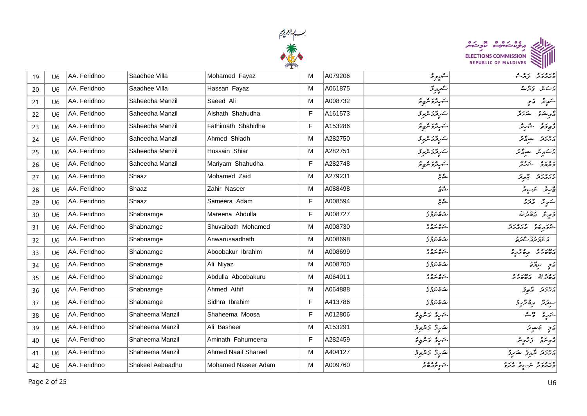



| U <sub>6</sub> | AA. Feridhoo | Saadhee Villa    | Mohamed Fayaz              | M | A079206 | سەد <sub>ى</sub> رە ئە                 | ورەرو رۇرم                                 |
|----------------|--------------|------------------|----------------------------|---|---------|----------------------------------------|--------------------------------------------|
| U <sub>6</sub> | AA. Feridhoo | Saadhee Villa    | Hassan Fayaz               | M | A061875 | سە دېرىر                               | يز ستانش تو پژنت                           |
| U <sub>6</sub> | AA. Feridhoo | Saheedha Manzil  | Saeed Ali                  | M | A008732 | سەر ئۇچ <sub>ە</sub> ش <sub>ە</sub> بۇ | ڪيپٽر گچ                                   |
| U <sub>6</sub> | AA. Feridhoo | Saheedha Manzil  | Aishath Shahudha           | F | A161573 | سەر ئە <i>ڭرى</i> خ ش <sub>ەر</sub> ئە | وكرمشكم الشروقر                            |
| U <sub>6</sub> | AA. Feridhoo | Saheedha Manzil  | Fathimath Shahidha         | F | A153286 | سە پە ئە <i>ڭ شى</i> رى                | وتموختم الشرير                             |
| U6             | AA. Feridhoo | Saheedha Manzil  | Ahmed Shiadh               | М | A282750 | سەپەئىرى شىر پىر                       | د ه د و و د و د و د                        |
| U <sub>6</sub> | AA. Feridhoo | Saheedha Manzil  | Hussain Shiar              | М | A282751 | سەر ئە <i>ڭرى تىرىنى</i> بىر           | يرسكريش كمسورتيني                          |
| U <sub>6</sub> | AA. Feridhoo | Saheedha Manzil  | Mariyam Shahudha           | F | A282748 | اسەر بۇر ئەمبىر بىر<br>مەسىر           | رەرە شەدىر                                 |
| U <sub>6</sub> | AA. Feridhoo | Shaaz            | Mohamed Zaid               | м | A279231 | شَرْحْ                                 | ورەر دەر                                   |
| U <sub>6</sub> | AA. Feridhoo | Shaaz            | Zahir Naseer               | M | A088498 | سترجح                                  | چ <i>پرې</i> تر گېږېد                      |
| U <sub>6</sub> | AA. Feridhoo | Shaaz            | Sameera Adam               | F | A008594 | يدمج                                   | سەچە ئە ئەرە                               |
| U <sub>6</sub> | AA. Feridhoo | Shabnamge        | Mareena Abdulla            | F | A008727 | شەھ سرچ ي                              | <del>ك</del> امريتش كدگاهالله              |
| U <sub>6</sub> | AA. Feridhoo | Shabnamge        | Shuvaibath Mohamed         | M | A008730 | شەھ سرچ ي                              | شور صور وره دو                             |
| U <sub>6</sub> | AA. Feridhoo | Shabnamge        | Anwarusaadhath             | M | A008698 | شەھ سرچ ي                              | ر ہ ر وہ مہر و<br>پرسری <i>بوہر س</i> وتوں |
| U <sub>6</sub> | AA. Feridhoo | Shabnamge        | Aboobakur Ibrahim          | М | A008699 | شەھ سرو ،                              |                                            |
| U <sub>6</sub> | AA. Feridhoo | Shabnamge        | Ali Niyaz                  | М | A008700 | شەھ سرچ ي                              | أوسمع سروسي                                |
| U6             | AA. Feridhoo | Shabnamge        | Abdulla Aboobakuru         | M | A064011 | شەھ سرو ،                              | 77/27/<br>ەھىراللە                         |
| U <sub>6</sub> | AA. Feridhoo | Shabnamge        | Ahmed Athif                | M | A064888 | شەھ سرچ ي                              | رور ژور                                    |
| U <sub>6</sub> | AA. Feridhoo | Shabnamge        | Sidhra Ibrahim             | F | A413786 | شەھ سرچ ي                              | سوترنگر و گھر گر دی                        |
| U <sub>6</sub> | AA. Feridhoo | Shaheema Manzil  | Shaheema Moosa             | F | A012806 | ڪئريو څکريونو                          | المشررة المحرك                             |
| U <sub>6</sub> | AA. Feridhoo | Shaheema Manzil  | Ali Basheer                | M | A153291 | ڪئريو څکريونو                          | كالمحمج كالحاجير                           |
| U <sub>6</sub> | AA. Feridhoo | Shaheema Manzil  | Aminath Fahumeena          | F | A282459 | شَرِءٌ دَسْمِوْ                        | أزويتم وزويتر                              |
| U <sub>6</sub> | AA. Feridhoo | Shaheema Manzil  | <b>Ahmed Naaif Shareef</b> | М | A404127 | شړیځ ډکریږی                            | <i>גورد شرو ځېرو</i>                       |
| U <sub>6</sub> | AA. Feridhoo | Shakeel Aabaadhu | Mohamed Naseer Adam        | M | A009760 | شەرىۋە ئەتەر                           | ورەرو بربېر مەرە                           |
|                |              |                  |                            |   |         |                                        |                                            |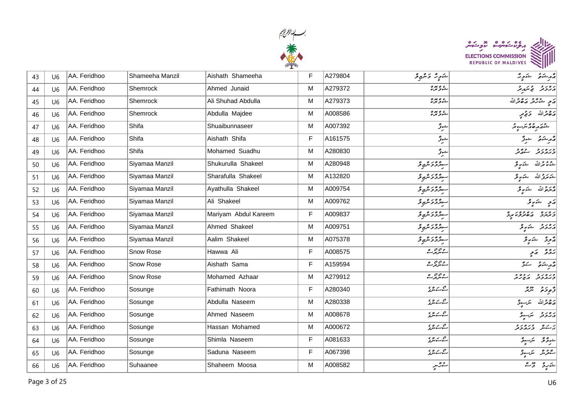



| 43 | U <sub>6</sub> | AA. Feridhoo | Shameeha Manzil | Aishath Shameeha     | F  | A279804 | خوير وتربو                       | وكرمشكم المشروبة                     |
|----|----------------|--------------|-----------------|----------------------|----|---------|----------------------------------|--------------------------------------|
| 44 | U <sub>6</sub> | AA. Feridhoo | Shemrock        | Ahmed Junaid         | М  | A279372 | ره و بوه<br>مشو <del>ر</del> بور | رەرو وتر                             |
| 45 | U <sub>6</sub> | AA. Feridhoo | Shemrock        | Ali Shuhad Abdulla   | м  | A279373 | ري ۾ بو ه<br>ڪوپورن              | رَحٍ حَمْدَتْهُ رَءُ قَرَاللَّهُ     |
| 46 | U <sub>6</sub> | AA. Feridhoo | Shemrock        | Abdulla Majdee       | м  | A008586 | شوه بوه                          | <b>رَ</b> هُ قرآللّه کو قریب         |
| 47 | U <sub>6</sub> | AA. Feridhoo | Shifa           | Shuaibunnaseer       | м  | A007392 | سشوتر                            | ביו הפרית הב                         |
| 48 | U <sub>6</sub> | AA. Feridhoo | Shifa           | Aishath Shifa        | F. | A161575 | سشوقر                            | وگەرىشىمۇ ھو <b>گ</b>                |
| 49 | U <sub>6</sub> | AA. Feridhoo | Shifa           | Mohamed Suadhu       | М  | A280830 | مشدقر                            | وره رو و و و                         |
| 50 | U <sub>6</sub> | AA. Feridhoo | Siyamaa Manzil  | Shukurulla Shakeel   | М  | A280948 | سەر <i>دۇ دى</i> گىرى ئى         | شەرىم لله شەرىپ ئو                   |
| 51 | U <sub>6</sub> | AA. Feridhoo | Siyamaa Manzil  | Sharafulla Shakeel   | М  | A132820 | سەر ئەخرىرى بى                   | خەتترىق الله خەمومى                  |
| 52 | U <sub>6</sub> | AA. Feridhoo | Siyamaa Manzil  | Ayathulla Shakeel    | м  | A009754 | سەر ئەسىر ئە                     | مَرْمَرْمُواللّه خَمَعِ مِ           |
| 53 | U <sub>6</sub> | AA. Feridhoo | Siyamaa Manzil  | Ali Shakeel          | М  | A009762 | <i>سىدۇ دى</i> مىي ئ             | أرتمج التكليفي                       |
| 54 | U <sub>6</sub> | AA. Feridhoo | Siyamaa Manzil  | Mariyam Abdul Kareem | F. | A009837 | سەر <i>گەنگە</i> بىر             | נים נים בסנים כי<br>המחבר השיניב עיב |
| 55 | U <sub>6</sub> | AA. Feridhoo | Siyamaa Manzil  | Ahmed Shakeel        | M  | A009751 | سەر <i>ئەڭ ئىرى</i> ئ            | برەر دىن ھ                           |
| 56 | U <sub>6</sub> | AA. Feridhoo | Siyamaa Manzil  | Aalim Shakeel        | M  | A075378 | سە ئەڭ ئەسىم بۇ                  | ۇ ئور ئىنى ئىنىش                     |
| 57 | U <sub>6</sub> | AA. Feridhoo | Snow Rose       | Hawwa Ali            | F  | A008575 | <u>حرمرمر م</u>                  | پروڅ کړمي                            |
| 58 | U <sub>6</sub> | AA. Feridhoo | Snow Rose       | Aishath Sama         | F  | A159594 |                                  | ۇرمىنى سىۋ                           |
| 59 | U <sub>6</sub> | AA. Feridhoo | Snow Rose       | Mohamed Azhaar       | M  | A279912 | <u>حرمرمر م</u>                  | כנסנכ גבשה                           |
| 60 | U <sub>6</sub> | AA. Feridhoo | Sosunge         | Fathimath Noora      | F  | A280340 | <u>مریمه شری</u>                 | وٌجوحَ حو                            |
| 61 | U <sub>6</sub> | AA. Feridhoo | Sosunge         | Abdulla Naseem       | М  | A280338 | <u>مری کے مرکز</u>               | رَة قرالله ترَبِّعْ                  |
| 62 | U <sub>6</sub> | AA. Feridhoo | Sosunge         | Ahmed Naseem         | М  | A008678 | <u>م ئەيزى</u>                   | برەر يرىسو                           |
| 63 | U <sub>6</sub> | AA. Feridhoo | Sosunge         | Hassan Mohamed       | м  | A000672 | <u>مری کے مرکز</u>               | يركبش وبره برو                       |
| 64 | U <sub>6</sub> | AA. Feridhoo | Sosunge         | Shimla Naseem        | F. | A081633 | <u>مری کے مرکز</u>               | خروفى الترسرو                        |
| 65 | U <sub>6</sub> | AA. Feridhoo | Sosunge         | Saduna Naseem        | F  | A067398 | <u>مریمه شری</u>                 | ے پڑھ کرنے و                         |
| 66 | U <sub>6</sub> | AA. Feridhoo | Suhaanee        | Shaheem Moosa        | M  | A008582 | شەمجە يېپە                       | خترید وحید                           |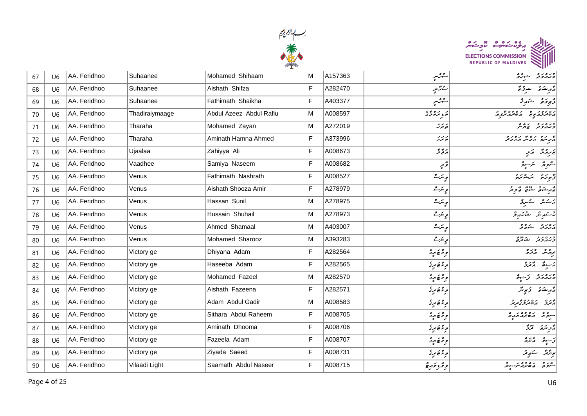



| U <sub>6</sub> | AA. Feridhoo | Suhaanee       | Mohamed Shihaam         | М | A157363 | ر حرمی ہیں<br>پی             | وبرورو حرجو                           |
|----------------|--------------|----------------|-------------------------|---|---------|------------------------------|---------------------------------------|
| U <sub>6</sub> | AA. Feridhoo | Suhaanee       | Aishath Shifza          | F | A282470 | رتىم تەرىپە<br>ئە            | و د سنده شوره مخ<br>د د سنده          |
| U <sub>6</sub> | AA. Feridhoo | Suhaanee       | Fathimath Shaikha       | F | A403377 | استمرشير                     | رُّمِودَة شَهرْ                       |
| U <sub>6</sub> | AA. Feridhoo | Thadiraiymaage | Abdul Azeez Abdul Rafiu | м | A008597 | پر بره و ،<br>  پر بر پر د د | נסכסגם מסכסת כ<br>הסט <i>כה</i> ת ב   |
| U <sub>6</sub> | AA. Feridhoo | Tharaha        | Mohamed Zayan           | м | A272019 | ە ئەرىر                      | ورەر دىرو                             |
| U <sub>6</sub> | AA. Feridhoo | Tharaha        | Aminath Hamna Ahmed     | F | A373996 | ە ئەرىر                      | أثر برو بروتر مربرو                   |
| U <sub>6</sub> | AA. Feridhoo | Ujaalaa        | Zahiyya Ali             | F | A008673 | و پر پی<br>مربع تخر          | ى بەر ئە ئە                           |
| U <sub>6</sub> | AA. Feridhoo | Vaadhee        | Samiya Naseem           | F | A008682 | حٌسٍ                         | سەر ئەر ئىر ئىر                       |
| U <sub>6</sub> | AA. Feridhoo | Venus          | Fathimath Nashrath      | F | A008527 | اءٍ يتربُّ                   | ژُودَهُ سَ-وُمرُهُ                    |
| U <sub>6</sub> | AA. Feridhoo | Venus          | Aishath Shooza Amir     | F | A278979 | ءٍ سَرَتْ                    | أقهر مشوهي مشبقي أقرحه                |
| U <sub>6</sub> | AA. Feridhoo | Venus          | Hassan Sunil            | М | A278975 | ءٍ سَرَتْ                    | ىرىكىش سىسرى                          |
| U <sub>6</sub> | AA. Feridhoo | Venus          | Hussain Shuhail         | м | A278973 | ويترس                        | برسكر شركت ويحركم                     |
| U <sub>6</sub> | AA. Feridhoo | Venus          | Ahmed Shamaal           | М | A403007 | اءٍ يئر محم                  | رەرد شەھ<br>مەردىس شە <del>ر</del> ىر |
| U <sub>6</sub> | AA. Feridhoo | Venus          | Mohamed Sharooz         | М | A393283 | ءِ سَرَتْ                    | وره رو دوه<br>د <i>بر د</i> ونر شومرج |
| U <sub>6</sub> | AA. Feridhoo | Victory ge     | Dhiyana Adam            | F | A282564 | <i>وین</i> کا سریحہ          | مرتز ترمزد                            |
| U <sub>6</sub> | AA. Feridhoo | Victory ge     | Haseeba Adam            | F | A282565 | <i>وین</i> کا سریحہ          | ---- مُعَرَّد                         |
| U <sub>6</sub> | AA. Feridhoo | Victory ge     | Mohamed Fazeel          | М | A282570 | عر من عَ مَدِيح              | دېرورو ترخپو                          |
| U <sub>6</sub> | AA. Feridhoo | Victory ge     | Aishath Fazeena         | F | A282571 | <i>وین</i> کا سریحہ          | ړې شکړې ترې پر                        |
| U <sub>6</sub> | AA. Feridhoo | Victory ge     | Adam Abdul Gadir        | м | A008583 | <br> عر <sup>م</sup> ڪيمبري  | بر ده ده وه بر د<br>مردر مان مرد و بر |
| U <sub>6</sub> | AA. Feridhoo | Victory ge     | Sithara Abdul Raheem    | F | A008705 | عرثةً عَاسِيةً               | سوتم مەھىرمىدە                        |
| U <sub>6</sub> | AA. Feridhoo | Victory ge     | Aminath Dhooma          | F | A008706 | و را ڪ <sub>ا مور</sub> ي    | הכתב נכב                              |
| U <sub>6</sub> | AA. Feridhoo | Victory ge     | Fazeela Adam            | F | A008707 | و را ڪ <sub>ا مور</sub> ي    | تىن ئۇ ئەڭدىگە                        |
| U <sub>6</sub> | AA. Feridhoo | Victory ge     | Ziyada Saeed            | F | A008731 | <br> عرش ڪي مير پر           | ىرەگە ئىسكىرىگە                       |
| U <sub>6</sub> | AA. Feridhoo | Vilaadi Light  | Saamath Abdul Naseer    | F | A008715 | وقرو بخروره                  | در ده ده ده د د                       |
|                |              |                |                         |   |         |                              |                                       |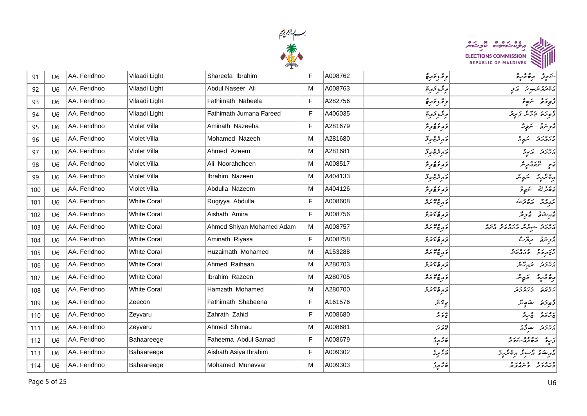



| 91  | U <sub>6</sub> | AA. Feridhoo | Vilaadi Light      | Shareefa Ibrahim          | F  | A008762 | وقروخرو                        | شورق رەممىر                           |
|-----|----------------|--------------|--------------------|---------------------------|----|---------|--------------------------------|---------------------------------------|
| 92  | U <sub>6</sub> | AA. Feridhoo | Vilaadi Light      | Abdul Naseer Ali          | М  | A008763 | وقحو خرمرهح                    | גם כם תיהיב הב                        |
| 93  | U <sub>6</sub> | AA. Feridhoo | Vilaadi Light      | Fathimath Nabeela         | F. | A282756 | وقحو مخروره                    | و و ده سکه د                          |
| 94  | U <sub>6</sub> | AA. Feridhoo | Vilaadi Light      | Fathimath Jumana Fareed   | F  | A406035 | وقروخرو                        | ژُوِدَهُ یُکُسُّ زَیرِیْر             |
| 95  | U <sub>6</sub> | AA. Feridhoo | Violet Villa       | Aminath Nazeeha           | F  | A281679 | ءَ مرځه عوڅه                   | ړٌ د سَمَعٍ سَمَنِي دَ                |
| 96  | U <sub>6</sub> | AA. Feridhoo | Violet Villa       | Mohamed Nazeeh            | M  | A281680 | ءَ مرځه عوڅه                   | ورەرو شھر                             |
| 97  | U <sub>6</sub> | AA. Feridhoo | Violet Villa       | Ahmed Azeem               | M  | A281681 | ءَ مرځه عوڅه                   | גפיב ג'קב                             |
| 98  | U <sub>6</sub> | AA. Feridhoo | Violet Villa       | Ali Noorahdheen           | M  | A008517 | وَمرتزءٌ و تَرَ                | ړې شرمه پر شر                         |
| 99  | U <sub>6</sub> | AA. Feridhoo | Violet Villa       | Ibrahim Nazeen            | M  | A404133 | ءَ مرځه عوڅه                   | ب <i>رھنڙپ</i> و سَپِير               |
| 100 | U <sub>6</sub> | AA. Feridhoo | Violet Villa       | Abdulla Nazeem            | М  | A404126 | ءَ مرځه عوڅه                   | رەق <sub>ىر</sub> اللە س <i>رىپ ۋ</i> |
| 101 | U <sub>6</sub> | AA. Feridhoo | <b>White Coral</b> | Rugiyya Abdulla           | F  | A008608 | ە مەھم ئىرى                    | حرم محركة من الله الله                |
| 102 | U <sub>6</sub> | AA. Feridhoo | <b>White Coral</b> | Aishath Amira             | F  | A008756 | ە مەھم ئىرى                    | ومرشو وتجافر                          |
| 103 | U <sub>6</sub> | AA. Feridhoo | <b>White Coral</b> | Ahmed Shiyan Mohamed Adam | M  | A008757 | ءَرِ ۽ سينگر                   |                                       |
| 104 | U <sub>6</sub> | AA. Feridhoo | <b>White Coral</b> | Aminath Riyasa            | F  | A008758 | ئەرەبىر بور<br>  ئۇرمۇس ئىرىگر | وحريتكم المروشة                       |
| 105 | U <sub>6</sub> | AA. Feridhoo | <b>White Coral</b> | Huzaimath Mohamed         | M  | A153288 | ءَرِ ۽ سينگر                   | במתכם במחכת                           |
| 106 | U <sub>6</sub> | AA. Feridhoo | <b>White Coral</b> | Ahmed Raihaan             | M  | A280703 | ە مەھ ئىمىز                    | رەرو بزرگىر                           |
| 107 | U <sub>6</sub> | AA. Feridhoo | <b>White Coral</b> | Ibrahim Razeen            | М  | A280705 | ەرھ ئىرو                       | رەترىر ترىپ                           |
| 108 | U <sub>6</sub> | AA. Feridhoo | <b>White Coral</b> | Hamzath Mohamed           | М  | A280700 | ەرھ ئىرو                       | ג סג כ כגור<br>גראת הגורית            |
| 109 | U <sub>6</sub> | AA. Feridhoo | Zeecon             | Fathimath Shabeena        | F  | A161576 | ېږېمىشر                        | ژوده خوشر                             |
| 110 | U <sub>6</sub> | AA. Feridhoo | Zeyvaru            | Zahrath Zahid             | F  | A008680 | یں پر و<br>سی حد               | ى ئەندە ئەرىتر                        |
| 111 | U <sub>6</sub> | AA. Feridhoo | Zeyvaru            | Ahmed Shimau              | М  | A008681 | یں پر و<br>سی حد               | رەرد جوړ                              |
| 112 | U <sub>6</sub> | AA. Feridhoo | Bahaareege         | Faheema Abdul Samad       | F  | A008679 | پرېږي<br>  چېرندي              | تر رقت ده وه در د                     |
| 113 | U <sub>6</sub> | AA. Feridhoo | Bahaareege         | Aishath Asiya Ibrahim     | F  | A009302 | ئەشرىيى<br>  ئەسىرى            | مەر شەقر مەسىر مەھكرىپ                |
| 114 | U <sub>6</sub> | AA. Feridhoo | Bahaareege         | Mohamed Munavvar          | M  | A009303 | ئەشرىپى<br>ئ                   | כנסנכ כנסנכ<br>כגובת כיתופת           |
|     |                |              |                    |                           |    |         |                                |                                       |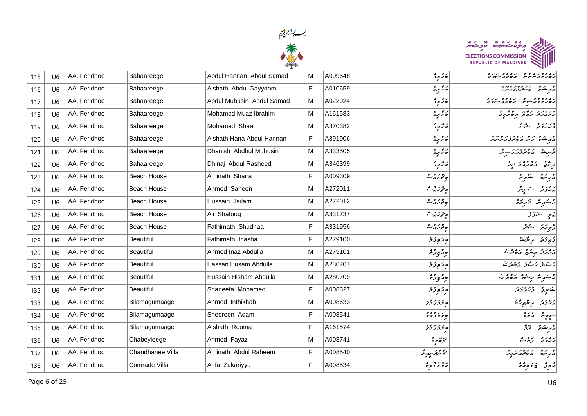



| U <sub>6</sub> | AA. Feridhoo        | Bahaareege         | Abdul Hannan Abdul Samad  | м  | A009648 | ئە شەيدى<br>ھەشەيدى               | ره وه ره پر ده ده در د<br>پره تروپرس س                     |
|----------------|---------------------|--------------------|---------------------------|----|---------|-----------------------------------|------------------------------------------------------------|
| U <sub>6</sub> | AA. Feridhoo        | Bahaareege         | Aishath Abdul Gayyoom     | F. | A010659 | ئە شەيدى<br>ھەشەيدى               | ه درود ده ده ده ده<br>پژوشنو پره ترمز تر پر                |
| U <sub>6</sub> | AA. Feridhoo        | Bahaareege         | Abdul Muhusin Abdul Samad | м  | A022924 | پر شمېر ئا                        | ره وه و و مسر ه ره وه مدر و<br>پرهنربوچد سوش پرهنربر سوچنر |
| U <sub>6</sub> | AA. Feridhoo        | Bahaareege         | Mohamed Muaz Ibrahim      | м  | A161583 | ئەشەپرى<br>ھ                      | ورەر د دو دە ئەر                                           |
| U <sub>6</sub> | <b>AA. Feridhoo</b> | Bahaareege         | Mohamed Shaan             | м  | A370382 | ئە شەيدى<br>ھەشەيدى               | ورەرو ئەھ                                                  |
| U <sub>6</sub> | AA. Feridhoo        | Bahaareege         | Aishath Hana Abdul Hannan | F. | A391906 | ئەشەپرى<br>ھ                      |                                                            |
| U <sub>6</sub> | AA. Feridhoo        | Bahaareege         | Dhanish Abdhul Muhusin    | м  | A333505 | ئە شەيدى<br>ھەشەيدى               | قرمرے رہ دو دو۔                                            |
| U <sub>6</sub> | AA. Feridhoo        | Bahaareege         | Dhinaj Abdul Rasheed      | м  | A346399 | ئە شەيدى<br>ھەشەيدى               | ورنتزلق وكافترو بمرشوش                                     |
| U <sub>6</sub> | AA. Feridhoo        | <b>Beach House</b> | Aminath Shaira            | F. | A009309 | ە ئۇرۇپ                           | أرمح سقر المحتفر بمتر                                      |
| U <sub>6</sub> | AA. Feridhoo        | <b>Beach House</b> | Ahmed Saneen              | м  | A272011 | ھەممەر 2                          | پرورو کے سربائر                                            |
| U <sub>6</sub> | AA. Feridhoo        | <b>Beach House</b> | Hussain Jailam            | м  | A272012 | ە ئەزىر م                         | 2سىرىش قەرىخى                                              |
| U <sub>6</sub> | AA. Feridhoo        | <b>Beach House</b> | Ali Shafoog               | м  | A331737 | ھەممەر 2                          | پر پر دور                                                  |
| U <sub>6</sub> | <b>AA. Feridhoo</b> | <b>Beach House</b> | Fathimath Shudhaa         | F. | A331956 | اھەمجە ئەرمى<br>ئ                 | توجوحو سنقر                                                |
| U <sub>6</sub> | AA. Feridhoo        | <b>Beautiful</b>   | Fathimath Inasha          | F. | A279100 | ورموزى                            | وَجوحَۃ مِسَّنَةٌ                                          |
| U <sub>6</sub> | AA. Feridhoo        | <b>Beautiful</b>   | Ahmed Inaz Abdulla        | м  | A279101 | وړځونه                            | أرجدته مرشح وكافرالله                                      |
| U <sub>6</sub> | AA. Feridhoo        | <b>Beautiful</b>   | Hassan Husam Abdulla      | м  | A280707 | وړځونه                            | برسك والمحر والمحدد الله                                   |
| U <sub>6</sub> | AA. Feridhoo        | <b>Beautiful</b>   | Hussain Hisham Abdulla    | м  | A280709 | ورموزى                            | ج سەر شەر سىشىرى ئەھ قىراللە                               |
| U <sub>6</sub> | AA. Feridhoo        | <b>Beautiful</b>   | Shaneefa Mohamed          | F. | A008627 | وړځونه                            | خَسِرِدٌ دُبَرُ دَرَ                                       |
| U <sub>6</sub> | AA. Feridhoo        | Bilamagumaage      | Ahmed Inthikhab           | м  | A008633 | ر ر د و د ،<br>م <i>ور د</i> د د  | أرورو برعوزة                                               |
| U <sub>6</sub> | AA. Feridhoo        | Bilamagumaage      | Sheereen Adam             | F  | A008541 | ه نور د و ،<br><i>ه نور د</i> د د | شومر شر محرم 2                                             |
| U <sub>6</sub> | AA. Feridhoo        | Bilamagumaage      | Aishath Rooma             | F. | A161574 | ه نور د و ،<br><i>ه نور د</i> د د | پی کر شوی محرک                                             |
| U <sub>6</sub> | AA. Feridhoo        | Chabeyleege        | Ahmed Fayaz               | м  | A008741 | ري ء<br>کوھ پر د                  | پرونر کرمگرے                                               |
| U <sub>6</sub> | AA. Feridhoo        | Chandhanee Villa   | Aminath Abdul Raheem      | F. | A008540 | ىم ئىرتى <i>رىبى</i> ر ئى         | رە دە رە<br> قمر سرقيم                                     |
| U <sub>6</sub> | AA. Feridhoo        | Comrade Villa      | Arifa Zakariyya           | F. | A008534 | بوه بره و ځه<br>پرې               | محبوق تماسم مرمانة                                         |
|                |                     |                    |                           |    |         |                                   |                                                            |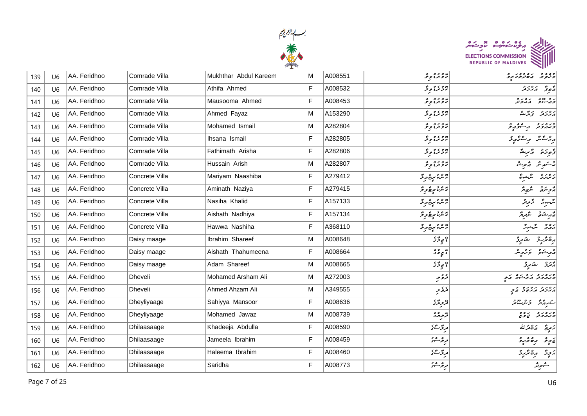



| 139 | U <sub>6</sub> | AA. Feridhoo | Comrade Villa  | Mukhthar Abdul Kareem | М  | A008551 | پره بره موځه                          | وه دو ده ده در و                                      |
|-----|----------------|--------------|----------------|-----------------------|----|---------|---------------------------------------|-------------------------------------------------------|
| 140 | U <sub>6</sub> | AA. Feridhoo | Comrade Villa  | Athifa Ahmed          | F  | A008532 | بره ، ه ه و<br>مړنۍ وگړ               | ړ پر د د د                                            |
| 141 | U <sub>6</sub> | AA. Feridhoo | Comrade Villa  | Mausooma Ahmed        | F  | A008453 | پروېږ وېڅه                            | بر و بر و<br>م <i>ر</i> بر <del>و</del> تر<br>ىر دەپر |
| 142 | U <sub>6</sub> | AA. Feridhoo | Comrade Villa  | Ahmed Fayaz           | М  | A153290 | #دمع مع عر                            | برە يە تە<br>تر پژ شه                                 |
| 143 | U <sub>6</sub> | AA. Feridhoo | Comrade Villa  | Mohamed Ismail        | М  | A282804 | پروېږو عر                             | ورەرو بەسۇپەت                                         |
| 144 | U <sub>6</sub> | AA. Feridhoo | Comrade Villa  | Ihsana Ismail         | F. | A282805 | پره ۽ ه و گه                          | روشت رستمور                                           |
| 145 | U <sub>6</sub> | AA. Feridhoo | Comrade Villa  | Fathimath Arisha      | F  | A282806 | پره ی ه و ځه                          | وتبوقاته المتراك                                      |
| 146 | U <sub>6</sub> | AA. Feridhoo | Comrade Villa  | Hussain Arish         | М  | A282807 | پروېږي <sub>حر</sub> مځه              | يز سكر شر الأمريك                                     |
| 147 | U <sub>6</sub> | AA. Feridhoo | Concrete Villa | Mariyam Naashiba      | F. | A279412 | يو پر پر چ <sub>پر</sub> محر          | ىئۇيىنىدە تە<br>ر ه بر ه<br><del>د</del> بربرگر       |
| 148 | U <sub>6</sub> | AA. Feridhoo | Concrete Villa | Aminath Naziya        | F. | A279415 | #مثر يزيد عرو محر                     | ړ څر سره<br>ىتىبى قر                                  |
| 149 | U <sub>6</sub> | AA. Feridhoo | Concrete Villa | Nasiha Khalid         | F. | A157133 | #مثر يزيد عرو محر                     | متزسور<br>رٌوِتْر                                     |
| 150 | U <sub>6</sub> | AA. Feridhoo | Concrete Villa | Aishath Nadhiya       | F. | A157134 | #مثر بدسم عوقر                        | سردرتر<br>و مر شو د محمد به دارند.<br>مر              |
| 151 | U <sub>6</sub> | AA. Feridhoo | Concrete Villa | Hawwa Nashiha         | F. | A368110 | #مثر بدسم عوقر                        | برە ئە ئىشىر                                          |
| 152 | U <sub>6</sub> | AA. Feridhoo | Daisy maage    | Ibrahim Shareef       | М  | A008648 | پم پرځ <sub>ک</sub>                   | ەر ھەترىر <i>ۋ</i><br>شەَ مور                         |
| 153 | U <sub>6</sub> | AA. Feridhoo | Daisy maage    | Aishath Thahumeena    | F  | A008664 | پی په دی<br>  پی پی پورند             | وكرمشكم وكرجانكر                                      |
| 154 | U <sub>6</sub> | AA. Feridhoo | Daisy maage    | Adam Shareef          | М  | A008665 | پر په دی<br>  پاسم پیونز <sub>ک</sub> | پر پر عندسپور                                         |
| 155 | U <sub>6</sub> | AA. Feridhoo | Dheveli        | Mohamed Arsham Ali    | М  | A272003 | قرة محر                               | ورەر دىر دىرە ك                                       |
| 156 | U <sub>6</sub> | AA. Feridhoo | Dheveli        | Ahmed Ahzam Ali       | M  | A349555 | قرة مج                                | رەرد رەرە كەير                                        |
| 157 | U <sub>6</sub> | AA. Feridhoo | Dheyliyaage    | Sahiyya Mansoor       | F. | A008636 | قر عربر ي                             | أسكر وهو والمحتجم والمحمد                             |
| 158 | U <sub>6</sub> | AA. Feridhoo | Dheyliyaage    | Mohamed Jawaz         | М  | A008739 | در پر پر<br>  ترج تر <sub>ک</sub>     | وره رو دره<br><i>وبرورو دو</i> ی                      |
| 159 | U <sub>6</sub> | AA. Feridhoo | Dhilaasaage    | Khadeeja Abdulla      | F. | A008590 | ەرگۇرىچى                              | تزمريق كده قمرالله                                    |
| 160 | U <sub>6</sub> | AA. Feridhoo | Dhilaasaage    | Jameela Ibrahim       | F. | A008459 | ەرگۇرىچى                              | توجو أرەمرىر                                          |
| 161 | U <sub>6</sub> | AA. Feridhoo | Dhilaasaage    | Haleema Ibrahim       | F. | A008460 | ىر ئۇستىر؟                            | برودم وهتربرد                                         |
| 162 | U <sub>6</sub> | AA. Feridhoo | Dhilaasaage    | Saridha               | F  | A008773 | مرگر گرم                              | سەّمرىر                                               |
|     |                |              |                |                       |    |         |                                       |                                                       |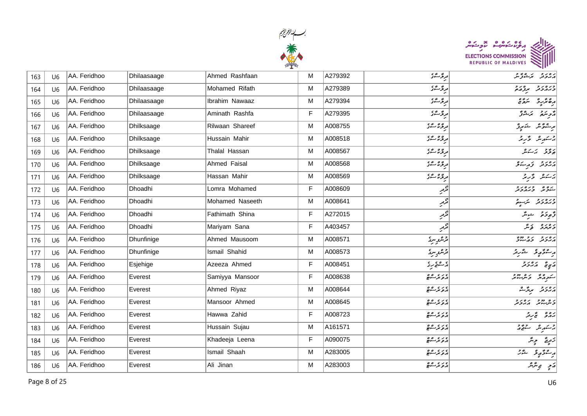



| 163 | U <sub>6</sub> | AA. Feridhoo | Dhilaasaage    | Ahmed Rashfaan  | М  | A279392 | ەرگۇرىچى                              | رەرد برجۇش                      |
|-----|----------------|--------------|----------------|-----------------|----|---------|---------------------------------------|---------------------------------|
| 164 | U <sub>6</sub> | AA. Feridhoo | Dhilaasaage    | Mohamed Rifath  | М  | A279389 | ەرگۇرىچى                              | وره رو مدرو<br>د بر بروره مروره |
| 165 | U <sub>6</sub> | AA. Feridhoo | Dhilaasaage    | Ibrahim Nawaaz  | М  | A279394 | ەر ئۇرىشىمى                           | ە ھەترىر <i>2</i><br>سرەمى      |
| 166 | U <sub>6</sub> | AA. Feridhoo | Dhilaasaage    | Aminath Rashfa  | F. | A279395 | ىر ئۇستىرى                            | ىر شەرى<br>لمجمج يتمدحه         |
| 167 | U <sub>6</sub> | AA. Feridhoo | Dhilksaage     | Rilwaan Shareef | М  | A008755 | ىر ۋ ر مەي                            | برڪوڭرار ڪوبرو                  |
| 168 | U <sub>6</sub> | AA. Feridhoo | Dhilksaage     | Hussain Mahir   | М  | A008518 | <sub>مرم</sub> ور <sub>ہ شہ</sub> ی   | 2سكەبلار ئۇرىر                  |
| 169 | U <sub>6</sub> | AA. Feridhoo | Dhilksaage     | Thalal Hassan   | М  | A008567 | ەر 2 مەسىرى<br>مەركى مەسىرى           | پروژ پرسکار                     |
| 170 | U <sub>6</sub> | AA. Feridhoo | Dhilksaage     | Ahmed Faisal    | М  | A008568 | ىر ۋرا شەتج                           | أرورو وربكو                     |
| 171 | U <sub>6</sub> | AA. Feridhoo | Dhilksaage     | Hassan Mahir    | М  | A008569 | <sub>قرقو</sub> ر مريح<br>مرقوما ستوى | ير سكانكر التحرير               |
| 172 | U <sub>6</sub> | AA. Feridhoo | Dhoadhi        | Lomra Mohamed   | F. | A008609 | اجمعر                                 | أيده به دره د د                 |
| 173 | U <sub>6</sub> | AA. Feridhoo | <b>Dhoadhi</b> | Mohamed Naseeth | М  | A008641 | اچ<br>فرمر                            | ورەر د سرگرد                    |
| 174 | U <sub>6</sub> | AA. Feridhoo | Dhoadhi        | Fathimath Shina | F. | A272015 | لقمعر                                 | قرم و پر شوینگر                 |
| 175 | U <sub>6</sub> | AA. Feridhoo | Dhoadhi        | Mariyam Sana    | F  | A403457 | م<br>مومر                             | د ۱۵ د می ش                     |
| 176 | U <sub>6</sub> | AA. Feridhoo | Dhunfinige     | Ahmed Mausoom   | м  | A008571 | قرىثرو بىرگە                          | رورو رودوه                      |
| 177 | U <sub>6</sub> | AA. Feridhoo | Dhunfinige     | Ismail Shahid   | М  | A008573 | قريقرمريح                             | وسنتحموها الشرير                |
| 178 | U <sub>6</sub> | AA. Feridhoo | Esjehige       | Azeeza Ahmed    | F  | A008451 | ە ئەھمىرى                             | ړې پرورو                        |
| 179 | U <sub>6</sub> | AA. Feridhoo | Everest        | Samiyya Mansoor | F. | A008638 | ې په په ده ه<br>مرغو سرچ              | سورش كالمردوح                   |
| 180 | U <sub>6</sub> | AA. Feridhoo | Everest        | Ahmed Riyaz     | М  | A008644 | ې په ده ه<br>مرغ مرسو                 | رەرو بېرگ                       |
| 181 | U <sub>6</sub> | AA. Feridhoo | Everest        | Mansoor Ahmed   | М  | A008645 | ې پر پ <sub>ه ص</sub> م               | ره دو دره دور                   |
| 182 | U <sub>6</sub> | AA. Feridhoo | Everest        | Hawwa Zahid     | F. | A008723 | ې په ده ه<br>مرغ مرسو                 | برەۋ ئى بەر                     |
| 183 | U <sub>6</sub> | AA. Feridhoo | Everest        | Hussain Sujau   | М  | A161571 | ې پر پ <sub>ه ص</sub> م               | 2 سەر شەھەر<br>مەم              |
| 184 | U <sub>6</sub> | AA. Feridhoo | Everest        | Khadeeja Leena  | F  | A090075 | ې په په ده ه<br>مرغو شريع             | زَمِرِةً مِيسَّر                |
| 185 | U <sub>6</sub> | AA. Feridhoo | Everest        | Ismail Shaah    | M  | A283005 | ې پر پ <sub>ه ص</sub> م               | أراع وحمي والمحمد               |
| 186 | U <sub>6</sub> | AA. Feridhoo | Everest        | Ali Jinan       | M  | A283003 | ى بە يەرە ھ                           | رَمِي مِيرَيْر                  |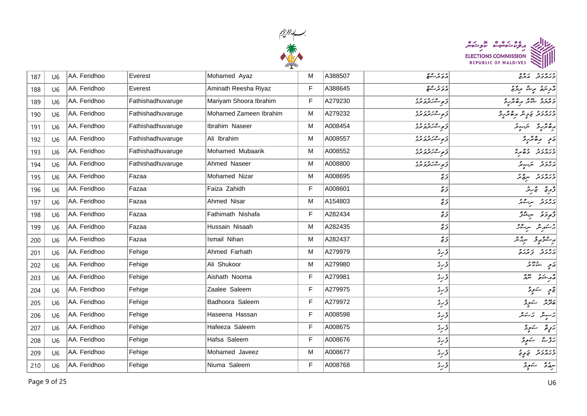



| 187 | U <sub>6</sub> | AA. Feridhoo        | Everest           | Mohamed Ayaz           | M | A388507 | ې پر پ <sub>ه ص</sub> م                   | כנסנכ נפס                        |
|-----|----------------|---------------------|-------------------|------------------------|---|---------|-------------------------------------------|----------------------------------|
| 188 | U <sub>6</sub> | AA. Feridhoo        | Everest           | Aminath Reesha Riyaz   | F | A388645 | ې په په ده ه<br>مرغو سرچ                  | ثروبنثر بربث برثرتم              |
| 189 | U <sub>6</sub> | AA. Feridhoo        | Fathishadhuvaruge | Mariyam Shoora Ibrahim | F | A279230 | تر به سور بر و د<br>  توجه سور تر و مرد   | נ פינים נמיל גם לגם              |
| 190 | U <sub>6</sub> | AA. Feridhoo        | Fathishadhuvaruge | Mohamed Zameen Ibrahim | М | A279232 | تو موسور د د د د د                        | ورەرو برجىگە مەھكرى              |
| 191 | U <sub>6</sub> | AA. Feridhoo        | Fathishadhuvaruge | Ibrahim Naseer         | М | A008454 | تر په سور د د د د د<br>  تر په سور تر پور | رە ئرىر ئىسىر                    |
| 192 | U <sub>6</sub> | AA. Feridhoo        | Fathishadhuvaruge | Ali Ibrahim            | М | A008557 | تو په سور و ،<br>  تو په سورترو بر د      | ړَ په پره پر په                  |
| 193 | U <sub>6</sub> | AA. Feridhoo        | Fathishadhuvaruge | Mohamed Mubaarik       | М | A008552 | د په ۱۶۰۶ و د د<br>  توج سورترو بوی       | כנסנכ כשיני                      |
| 194 | U <sub>6</sub> | AA. Feridhoo        | Fathishadhuvaruge | Ahmed Naseer           | М | A008800 | <br>  دېمو سر ترورون                      | برەر دىكە بىر                    |
| 195 | U <sub>6</sub> | AA. Feridhoo        | Fazaa             | Mohamed Nizar          | М | A008695 | ترنج                                      | ورەر دېر پرځنگ                   |
| 196 | U <sub>6</sub> | AA. Feridhoo        | Fazaa             | Faiza Zahidh           | F | A008601 | ترتج                                      | وَّدِيَّ يُحْرِ مَدْ             |
| 197 | U <sub>6</sub> | AA. Feridhoo        | Fazaa             | Ahmed Nisar            | М | A154803 | ترتج                                      | رەرو سرگەر                       |
| 198 | U <sub>6</sub> | <b>AA. Feridhoo</b> | Fazaa             | Fathimath Nishafa      | F | A282434 | ترتج                                      | رُّمِودَةُ سِشَرَّ               |
| 199 | U <sub>6</sub> | AA. Feridhoo        | Fazaa             | Hussain Nisaah         | М | A282435 | ترتج                                      | يزحكر شر سرسترجر                 |
| 200 | U <sub>6</sub> | AA. Feridhoo        | Fazaa             | Ismail Nihan           | M | A282437 | ترتج                                      | برڪوڻيو - برگائر                 |
| 201 | U <sub>6</sub> | AA. Feridhoo        | Fehige            | Ahmed Farhath          | М | A279979 | تۇرىج                                     | נים ניבר ביניים.<br>המכנת ציבמים |
| 202 | U <sub>6</sub> | AA. Feridhoo        | Fehige            | Ali Shukoor            | M | A279980 | ې ر <sub>ي</sub>                          | ړې شرورو                         |
| 203 | U <sub>6</sub> | AA. Feridhoo        | Fehige            | Aishath Nooma          | F | A279981 | ۇربى                                      | و المستحق المستردة المستردة      |
| 204 | U <sub>6</sub> | AA. Feridhoo        | Fehige            | Zaalee Saleem          | F | A279975 | ې ر <sup>ې</sup><br>تر کړ                 | چې خېږ                           |
| 205 | U <sub>6</sub> | AA. Feridhoo        | Fehige            | Badhoora Saleem        | F | A279972 | ې <sub>دې</sub><br>توريخ                  | ردوی سکوپی                       |
| 206 | U <sub>6</sub> | AA. Feridhoo        | Fehige            | Haseena Hassan         | F | A008598 | ې ر <sup>ې</sup><br>تر کړ                 | يزجين ايزخلا                     |
| 207 | U <sub>6</sub> | AA. Feridhoo        | Fehige            | Hafeeza Saleem         | F | A008675 | ی ر <sup>ی</sup><br>تر ری                 | رَءٍ لاَ سَوِدْ                  |
| 208 | U <sub>6</sub> | AA. Feridhoo        | Fehige            | Hafsa Saleem           | F | A008676 | ې ر <sup>ي</sup><br>توريخ                 | برونه الشروى                     |
| 209 | U <sub>6</sub> | AA. Feridhoo        | Fehige            | Mohamed Javeez         | М | A008677 | تۇر <sub>ى</sub> ج                        | <i>و بر و د</i> تر<br>تح ج تح    |
| 210 | U <sub>6</sub> | AA. Feridhoo        | Fehige            | Niuma Saleem           | F | A008768 | ڈربز                                      | سرچرم سکوچر                      |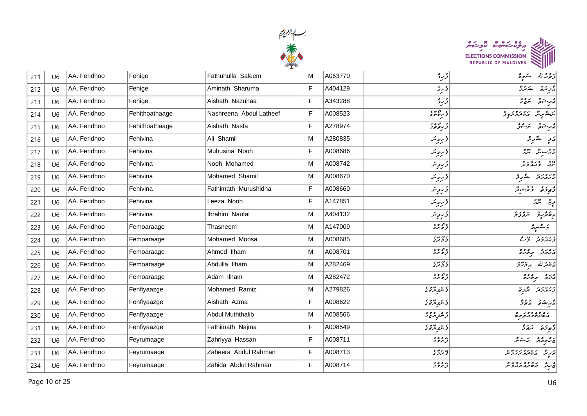



| 211 | U6             | AA. Feridhoo | Fehige         | Fathuhulla Saleem       | М  | A063770 | ئۈرى<br>                                      | ترة جرالله كويرة                                                                                    |
|-----|----------------|--------------|----------------|-------------------------|----|---------|-----------------------------------------------|-----------------------------------------------------------------------------------------------------|
| 212 | U <sub>6</sub> | AA. Feridhoo | Fehige         | Aminath Sharuma         | F  | A404129 | ې رې<br>توري                                  | ۇ ئەسكە ئەندۇ                                                                                       |
| 213 | U <sub>6</sub> | AA. Feridhoo | Fehige         | Aishath Nazuhaa         | F. | A343288 | تۇر <sub>ى</sub> ج                            | أقهر مشترة مسترجر                                                                                   |
| 214 | U <sub>6</sub> | AA. Feridhoo | Fehithoathaage | Nashreena Abdul Latheef | F  | A008523 | ې د ۵ پر <sup>ي</sup>                         | ترڅېږنگر پره ده څېړنو                                                                               |
| 215 | U <sub>6</sub> | AA. Feridhoo | Fehithoathaage | Aishath Nasfa           | F  | A278974 | ې د ۱۶۵ وي.<br>تر سرچونو <sub>ک</sub>         | ۇرمىشمۇ س <i>رتو</i> گە                                                                             |
| 216 | U <sub>6</sub> | AA. Feridhoo | Fehivina       | Ali Shamil              | М  | A280835 | ۇرەبئە                                        | أريح المشروع                                                                                        |
| 217 | U <sub>6</sub> | AA. Feridhoo | Fehivina       | Muhusina Nooh           | F  | A008686 | ۇروپىر                                        | د در سوشر میزد.<br>د بر سر میزان                                                                    |
| 218 | U <sub>6</sub> | AA. Feridhoo | Fehivina       | Nooh Mohamed            | М  | A008742 | ۇرەبىر                                        | מם כנסנב<br>ייטל כממכנ                                                                              |
| 219 | U <sub>6</sub> | AA. Feridhoo | Fehivina       | Mohamed Shamil          | Μ  | A008670 | ۇروپىر                                        | ورەر دېگرو                                                                                          |
| 220 | U <sub>6</sub> | AA. Feridhoo | Fehivina       | Fathimath Murushidha    | F. | A008660 | ا د سره متر<br>                               | أوالمجاني والمحافظة والمحر                                                                          |
| 221 | U <sub>6</sub> | AA. Feridhoo | Fehivina       | Leeza Nooh              | F  | A147851 | ۇروپر                                         | يديح الترجم                                                                                         |
| 222 | U <sub>6</sub> | AA. Feridhoo | Fehivina       | Ibrahim Naufal          | Μ  | A404132 | ۇروپىر                                        | ىر ھەترىر <i>ۋ</i><br>سرە ئەبى                                                                      |
| 223 | U <sub>6</sub> | AA. Feridhoo | Femoaraage     | Thasneem                | Μ  | A147009 | پر <i>م ه پ</i><br>  تو <del>ت</del> ر پر     | أتخم سنورد                                                                                          |
| 224 | U <sub>6</sub> | AA. Feridhoo | Femoaraage     | Mohamed Moosa           | М  | A008685 | ه ۵ و ه<br>و <del>و</del> بو و                | ورەرو دوغ                                                                                           |
| 225 | U <sub>6</sub> | AA. Feridhoo | Femoaraage     | Ahmed Ilham             | М  | A008701 | ه ۵ و ه<br>و <del>و</del> بو و                | برەر دورو                                                                                           |
| 226 | U <sub>6</sub> | AA. Feridhoo | Femoaraage     | Abdulla Ilham           | М  | A282469 | ه ۵ و ه<br>و <del>و</del> بو و                | صكارة<br>بروژو                                                                                      |
| 227 | U <sub>6</sub> | AA. Feridhoo | Femoaraage     | Adam Ilham              | М  | A282472 | ې ده پر <sub>ي</sub><br>تر د بنر <sub>ۍ</sub> | ړنده پرورده                                                                                         |
| 228 | U <sub>6</sub> | AA. Feridhoo | Fenfiyaazge    | Mohamed Ramiz           | Μ  | A279826 | ئۇ شرىر ئىرىمى ئە                             | و ر و ر و<br>تر پر ژ تر                                                                             |
| 229 | U <sub>6</sub> | AA. Feridhoo | Fenfiyaazge    | Aishath Azma            | F  | A008622 | ژىئرىدىنى ئە                                  | و الله عنده و الله من الله حر                                                                       |
| 230 | U <sub>6</sub> | AA. Feridhoo | Fenfiyaazge    | Abdul Muththalib        | Μ  | A008566 | ژىئرو ئرچ ئە                                  | ر ٥ ۶ ٥ ٥ ٥ ٠ ٥<br>۵ می مرحر ۶ ۸ مرض                                                                |
| 231 | U <sub>6</sub> | AA. Feridhoo | Fenfiyaazge    | Fathimath Najma         | F  | A008549 | ئۇ شرىر ئىزچى ئە                              | د په پهڅو په په په په                                                                               |
| 232 | U <sub>6</sub> | AA. Feridhoo | Feyrumaage     | Zahriyya Hassan         | F  | A008711 | ، په ورو ،<br>تومرنژۍ                         | ى ئابراكا ئاسكىسى                                                                                   |
| 233 | U <sub>6</sub> | AA. Feridhoo | Feyrumaage     | Zaheera Abdul Rahman    | F. | A008713 | ، په وي په<br>تومونو ت                        | ر ه د ه د ه د ه<br>پره تر بربر تر س<br>ئىم پىتىر                                                    |
| 234 | U <sub>6</sub> | AA. Feridhoo | Feyrumaage     | Zahida Abdul Rahman     | F  | A008714 | در و د د<br>تو بور <del>گ</del>               | انج رقم مصر مصر موجد حرار محمد الملك من الملك من محمد الملك الملك الملك الملك الملك الملك الملك الم |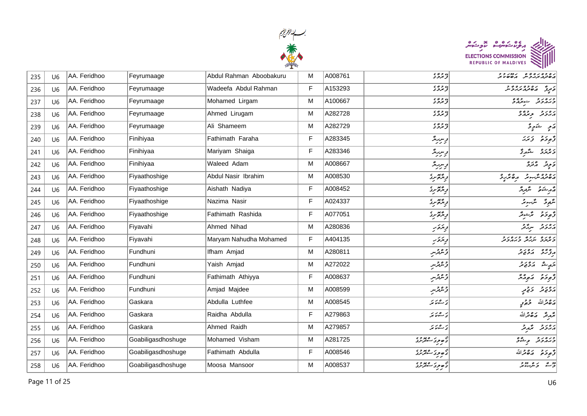



| 235 | U <sub>6</sub> | AA. Feridhoo | Feyrumaage         | Abdul Rahman Aboobakuru | М  | A008761 | ړ، و ه ،<br>تو بورنۍ                           | נסכסנסים נמנכב<br>גםנג גיבית גםסטיג             |
|-----|----------------|--------------|--------------------|-------------------------|----|---------|------------------------------------------------|-------------------------------------------------|
| 236 | U <sub>6</sub> | AA. Feridhoo | Feyrumaage         | Wadeefa Abdul Rahman    | F. | A153293 | د، و و ،<br>تو برو د                           | د پور می ده د و د و د<br>  د تور می شهر بر بر ش |
| 237 | U <sub>6</sub> | AA. Feridhoo | Feyrumaage         | Mohamed Lirgam          | М  | A100667 | ده و و د<br>تو برو د                           | ورەرو بەدە 2                                    |
| 238 | U <sub>6</sub> | AA. Feridhoo | Feyrumaage         | Ahmed Lirugam           | М  | A282728 | یه و و ه<br>تو برو د                           | پر 9 پر 9<br>وبزة و                             |
| 239 | U <sub>6</sub> | AA. Feridhoo | Feyrumaage         | Ali Shameem             | М  | A282729 | ړ، و ه ،<br>تو بورنۍ                           | ړَ په شَوَدُ                                    |
| 240 | U <sub>6</sub> | AA. Feridhoo | Finihiyaa          | Fathimath Faraha        | F  | A283345 | و سربر پر<br>تر بر بر                          | دَّەبەدَ ئەبرىر                                 |
| 241 | U <sub>6</sub> | AA. Feridhoo | Finihiyaa          | Mariyam Shaiga          | F. | A283346 | و سربر پر<br>تر بر بر                          | ر ه ر ه<br><del>د</del> بربرگ<br>ستشمرتخ        |
| 242 | U <sub>6</sub> | AA. Feridhoo | Finihiyaa          | Waleed Adam             | M  | A008667 | او سربردگر<br>—                                | وَ وِ شَر مُرْ دَوْ دَ                          |
| 243 | U <sub>6</sub> | AA. Feridhoo | Fiyaathoshige      | Abdul Nasir Ibrahim     | м  | A008530 | وپژهویری                                       | ره وه شریبه د<br>پره تر شریب<br>ەھ ئۆرۈ         |
| 244 | U <sub>6</sub> | AA. Feridhoo | Fiyaathoshige      | Aishath Nadiya          | F. | A008452 | و پھر ہ<br>پر مربوری                           | وكرم مشكر المتقرر                               |
| 245 | U <sub>6</sub> | AA. Feridhoo | Fiyaathoshige      | Nazima Nasir            | F  | A024337 | و پژ <sub>ه</sub> خ بر <sup>ج</sup>            | لترموق الترسونر                                 |
| 246 | U <sub>6</sub> | AA. Feridhoo | Fiyaathoshige      | Fathimath Rashida       | F. | A077051 | وپڑھ بری                                       | ترٌشەتر<br>وَّجرِحَ حَ                          |
| 247 | U <sub>6</sub> | AA. Feridhoo | Fiyavahi           | Ahmed Nihad             | М  | A280836 | ويزةر                                          | پروتر ہوتر                                      |
| 248 | U <sub>6</sub> | AA. Feridhoo | Fiyavahi           | Maryam Nahudha Mohamed  | F. | A404135 | ويروسه                                         | נסנס נכש כנסנכ<br>כמחב יינגע בגובע              |
| 249 | U <sub>6</sub> | AA. Feridhoo | Fundhuni           | Ifham Amjad             | М  | A280811 | ومفرقر سر                                      | مرور حدد مرد د                                  |
| 250 | U <sub>6</sub> | AA. Feridhoo | Fundhuni           | Yaish Amjad             | М  | A272022 | و عرور سر                                      | ترمي هڪ مرڪبور                                  |
| 251 | U <sub>6</sub> | AA. Feridhoo | Fundhuni           | Fathimath Athiyya       | F. | A008637 | وعرفرسر                                        | أزودكم مورش                                     |
| 252 | U <sub>6</sub> | AA. Feridhoo | Fundhuni           | Amjad Majdee            | M  | A008599 | ۇنتروترىبر                                     | پرور پر تر تر تر پر                             |
| 253 | U <sub>6</sub> | AA. Feridhoo | Gaskara            | Abdulla Luthfee         | М  | A008545 | ر ۱۵۷۵ پر                                      | پَرۡ صَفَرَاللّهِ<br>ترجور                      |
| 254 | U <sub>6</sub> | AA. Feridhoo | Gaskara            | Raidha Abdulla          | F. | A279863 | ر <u>م</u> صمة ئىر                             | مُحْمِرِتَّد سَ€قَدَاللَّه                      |
| 255 | U <sub>6</sub> | AA. Feridhoo | Gaskara            | Ahmed Raidh             | М  | A279857 | ر <u>ەر</u> بە                                 | پروتر گردنر                                     |
| 256 | U <sub>6</sub> | AA. Feridhoo | Goabiligasdhoshuge | Mohamed Visham          | М  | A281725 | امي ھريز ھيو وي<br>  ئى ھريز كەنتىرىدى         | ورەرو ھىشۇ                                      |
| 257 | U <sub>6</sub> | AA. Feridhoo | Goabiligasdhoshuge | Fathimath Abdulla       | F  | A008546 | ای حرمی مصرو و<br>  د حرمی مسلومهوری<br>  د مر | أقرموحة وكاقدالله                               |
| 258 | U <sub>6</sub> | AA. Feridhoo | Goabiligasdhoshuge | Moosa Mansoor           | М  | A008537 | انج حرم میں دیا<br>  دکھوری مستقرین            | ووره والمردوح                                   |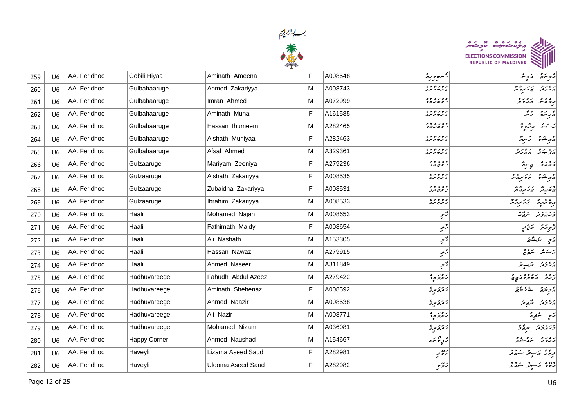



| 259 | U <sub>6</sub> | AA. Feridhoo | Gobili Hiyaa        | Aminath Ameena           | F | A008548 | ی سرچ پور پژ<br>د سرچ                              | ړې سره د ډېر              |
|-----|----------------|--------------|---------------------|--------------------------|---|---------|----------------------------------------------------|---------------------------|
| 260 | U <sub>6</sub> | AA. Feridhoo | Gulbahaaruge        | Ahmed Zakariyya          | M | A008743 | و ه ر بر و ،<br>د نوه ر برد                        | גפנים גלאת ה              |
| 261 | U <sub>6</sub> | AA. Feridhoo | Gulbahaaruge        | Imran Ahmed              | М | A072999 | و ه در بو د ،<br>د <del>ن</del> ر <i>ه تر</i> بر د | مرونژنز مهردو             |
| 262 | U <sub>6</sub> | AA. Feridhoo | Gulbahaaruge        | Aminath Muna             | F | A161585 | و ه در بو د ،<br>د <del>ن</del> ر <i>ه تر</i> بر د | أأدم تمريح والمحاشر       |
| 263 | U <sub>6</sub> | AA. Feridhoo | Gulbahaaruge        | Hassan Ihumeem           | М | A282465 | و ه ر بر و ،<br>د <del>ن</del> ره تر بر د          | يرسكس برقروقه             |
| 264 | U <sub>6</sub> | AA. Feridhoo | Gulbahaaruge        | Aishath Muniyaa          | F | A282463 | و ه ر بر و ،<br>د <del>ن</del> ر <i>ه ر</i> برد    | وكرمشكم وتسركر            |
| 265 | U <sub>6</sub> | AA. Feridhoo | Gulbahaaruge        | Afsal Ahmed              | М | A329361 | و ه ر بر و ،<br>د <del>ن</del> ره تر بر د          | رە بەي رەرد               |
| 266 | U <sub>6</sub> | AA. Feridhoo | Gulzaaruge          | Mariyam Zeeniya          | F | A279236 | و ه پر و ،<br>د نومځ مرد                           | د ډېرو په پېرمگر          |
| 267 | U <sub>6</sub> | AA. Feridhoo | Gulzaaruge          | Aishath Zakariyya        | F | A008535 | و ه پر و ،<br>د نویج مرد                           | مەر ئىكى ئەسىر ئىر        |
| 268 | U <sub>6</sub> | AA. Feridhoo | Gulzaaruge          | Zubaidha Zakariyya       | F | A008531 | و ه پر و ،<br>د نومځ مرد                           | جەمرىگە ئەكىرىمىدىگە      |
| 269 | U <sub>6</sub> | AA. Feridhoo | Gulzaaruge          | Ibrahim Zakariyya        | М | A008533 | د و ه پر د ،<br>د نرنځ برد                         | <b>תפיציב התאמית</b>      |
| 270 | U <sub>6</sub> | AA. Feridhoo | Haali               | Mohamed Najah            | М | A008653 | رٌمو                                               | ورەر دىرە                 |
| 271 | U <sub>6</sub> | AA. Feridhoo | Haali               | Fathimath Majdy          | F | A008654 | رٌموِ                                              | تزجوختم وقيمي             |
| 272 | U <sub>6</sub> | AA. Feridhoo | Haali               | Ali Nashath              | М | A153305 | رمجمج                                              | أرمو الكركامي             |
| 273 | U <sub>6</sub> | AA. Feridhoo | Haali               | Hassan Nawaz             | М | A279915 | رًمح                                               | ىز سەش ئىرقەمچ            |
| 274 | U <sub>6</sub> | AA. Feridhoo | Haali               | Ahmed Naseer             | M | A311849 | رٌمزِ                                              | رەرد سكب د                |
| 275 | U <sub>6</sub> | AA. Feridhoo | Hadhuvareege        | Fahudh Abdul Azeez       | М | A279422 | ترقر وسمرته                                        | ر د د په ۱۵۶۵ کړي         |
| 276 | U <sub>6</sub> | AA. Feridhoo | Hadhuvareege        | Aminath Shehenaz         | F | A008592 | تروتر برتح                                         | أأزوبترة كالشرياني        |
| 277 | U <sub>6</sub> | AA. Feridhoo | Hadhuvareege        | Ahmed Naazir             | M | A008538 | ر ور پر ء                                          | ىرەر ئەھمىرىگە            |
| 278 | U <sub>6</sub> | AA. Feridhoo | Hadhuvareege        | Ali Nazir                | М | A008771 | ئەقر <i>ەكە</i> بېرىگە                             | أەسمجە ستنموستە           |
| 279 | U <sub>6</sub> | AA. Feridhoo | Hadhuvareege        | Mohamed Nizam            | M | A036081 | ر در پر پی                                         | ورەر دەر                  |
| 280 | U <sub>6</sub> | AA. Feridhoo | <b>Happy Corner</b> | Ahmed Naushad            | М | A154667 | ائرو پرتئبه                                        | رەرد بردىئى               |
| 281 | U <sub>6</sub> | AA. Feridhoo | Haveyli             | Lizama Aseed Saud        | F | A282981 | ریمو                                               | دِجْ دَ مَسِيْرٌ سَهْدُرٌ |
| 282 | U <sub>6</sub> | AA. Feridhoo | Haveyli             | <b>Ulooma Aseed Saud</b> | F | A282982 | ریمو                                               | ככבי ה' היב"ק היבב        |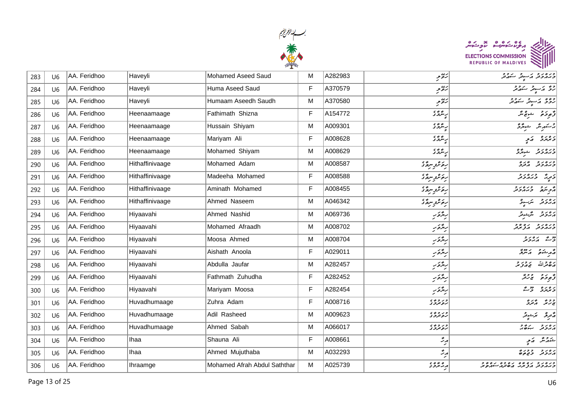



| 283 | U <sub>6</sub> | AA. Feridhoo | Haveyli         | <b>Mohamed Aseed Saud</b>    | M | A282983 | رىيى<br>رەبىر                | ورەرو رىيەتى سەر                                   |
|-----|----------------|--------------|-----------------|------------------------------|---|---------|------------------------------|----------------------------------------------------|
| 284 | U6             | AA. Feridhoo | Haveyli         | Huma Aseed Saud              | F | A370579 | رىيە                         | כל ה' יידי המית                                    |
| 285 | U <sub>6</sub> | AA. Feridhoo | Haveyli         | Humaam Aseedh Saudh          | M | A370580 | رىيى                         | כשם גבע הככ<br>הככ גבע המינג                       |
| 286 | U6             | AA. Feridhoo | Heenaamaage     | Fathimath Shizna             | F | A154772 | ر پڙڻ ئ                      | ترجوحاته مشوعي مثر                                 |
| 287 | U <sub>6</sub> | AA. Feridhoo | Heenaamaage     | Hussain Shiyam               | M | A009301 | ر پژو <sup>ي</sup>           | برسكر مشرور والمحصر                                |
| 288 | U6             | AA. Feridhoo | Heenaamaage     | Mariyam Ali                  | F | A008628 | ر پژوي                       | د ۱٫۵ ق.م.                                         |
| 289 | U <sub>6</sub> | AA. Feridhoo | Heenaamaage     | Mohamed Shiyam               | М | A008629 | ر پژو <sup>ي</sup>           | ورەر د شەھ                                         |
| 290 | U6             | AA. Feridhoo | Hithaffinivaage | Mohamed Adam                 | М | A008587 | ارىخەشرىر سوغ <sub>ى</sub> ئ | وره رو په ره<br>د بربرونر برنرو                    |
| 291 | U <sub>6</sub> | AA. Feridhoo | Hithaffinivaage | Madeeha Mohamed              | F | A008588 | رۇشۇر بىرقە ئە               | دَرِيدٌ - دِيروند                                  |
| 292 | U <sub>6</sub> | AA. Feridhoo | Hithaffinivaage | Aminath Mohamed              | F | A008455 | رۇشۇر بىرقە ئە               | أأدبره ورورد                                       |
| 293 | U <sub>6</sub> | AA. Feridhoo | Hithaffinivaage | Ahmed Naseem                 | м | A046342 | رۇشۇر بىرقە ئە               | پروبر برسرو                                        |
| 294 | U <sub>6</sub> | AA. Feridhoo | Hiyaavahi       | Ahmed Nashid                 | M | A069736 | ىرە پەترەپ                   | رەر تەشبەر                                         |
| 295 | U <sub>6</sub> | AA. Feridhoo | Hiyaavahi       | Mohamed Afraadh              | М | A008702 | ىرە پەر                      | ورەر درەپەر                                        |
| 296 | U <sub>6</sub> | AA. Feridhoo | Hiyaavahi       | Moosa Ahmed                  | М | A008704 | ىرەتزەكرىر                   | ووقع كدرور                                         |
| 297 | U <sub>6</sub> | AA. Feridhoo | Hiyaavahi       | Aishath Anoola               | F | A029011 | ىرەژەَ بە                    | ومرشكم وتترفز                                      |
| 298 | U <sub>6</sub> | AA. Feridhoo | Hiyaavahi       | Abdulla Jaufar               | М | A282457 | ىرە پەترە بەر                | صقعرالله<br>ى <i>ھەق تى</i> ر                      |
| 299 | U <sub>6</sub> | AA. Feridhoo | Hiyaavahi       | Fathmath Zuhudha             | F | A282452 | ىرە پەر                      | وٌجوحَۃ ج رُمَّرٌ                                  |
| 300 | U <sub>6</sub> | AA. Feridhoo | Hiyaavahi       | Mariyam Moosa                | F | A282454 | ىرەژەَ بە                    | دومثه<br>ر ه پر ه<br>د بربرگ                       |
| 301 | U <sub>6</sub> | AA. Feridhoo | Huvadhumaage    | Zuhra Adam                   | F | A008716 | و ر و » ،<br>ره مرو د        | ووی ژمره<br>بح <sup>ر</sup> برگرد                  |
| 302 | U <sub>6</sub> | AA. Feridhoo | Huvadhumaage    | Adil Rasheed                 | M | A009623 | و ر و » ،<br>ره ترو د        | ۇمرۇ ئرىئونر                                       |
| 303 | U <sub>6</sub> | AA. Feridhoo | Huvadhumaage    | Ahmed Sabah                  | M | A066017 | و ر و د ،<br>ره ترو د        | رەرد بەرد                                          |
| 304 | U6             | AA. Feridhoo | <b>Ihaa</b>     | Shauna Ali                   | F | A008661 | وشح                          | شەم قىمىتى ئە                                      |
| 305 | U <sub>6</sub> | AA. Feridhoo | <b>Ihaa</b>     | Ahmed Mujuthaba              | М | A032293 | ويح                          | ره رو دوره<br>مدرونر وق                            |
| 306 | U <sub>6</sub> | AA. Feridhoo | <b>Ihraamge</b> | Mohamed Afrah Abdul Saththar | М | A025739 | ە 2009<br>مەمگرىرى           | כנסגב גם 20 גם כם גם 20 ב<br>כגובת ונציג הסתו - מה |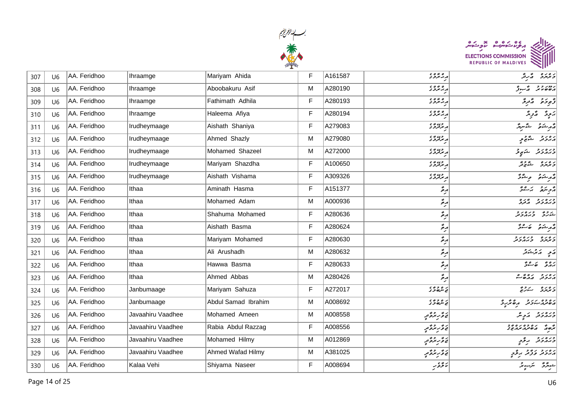



| 307 | U <sub>6</sub> | AA. Feridhoo | Ihraamge          | Mariyam Ahida       | F | A161587 | ە مەسىرە ي<br>مەسىرى ي         | د ه ر ه<br>ەر تە                           |
|-----|----------------|--------------|-------------------|---------------------|---|---------|--------------------------------|--------------------------------------------|
| 308 | U <sub>6</sub> | AA. Feridhoo | Ihraamge          | Aboobakuru Asif     | М | A280190 | ە مەسىرە ي<br>مەسىرى ي         | $\frac{1}{2}$                              |
| 309 | U <sub>6</sub> | AA. Feridhoo | Ihraamge          | Fathimath Adhila    | F | A280193 | لروءه ء                        | دَّە دَىمْ دَ مَّدْ مِرْدَّ                |
| 310 | U <sub>6</sub> | AA. Feridhoo | Ihraamge          | Haleema Afiya       | F | A280194 | و ه پره و و                    | يَا حِيدًا الله وَبِرْدًا                  |
| 311 | U <sub>6</sub> | AA. Feridhoo | Irudheymaage      | Aishath Shaniya     | F | A279083 | و در د. د.<br>در بوتور د       | أقدم مشكرة المتشامير                       |
| 312 | U <sub>6</sub> | AA. Feridhoo | Irudheymaage      | Ahmed Shazly        | М | A279080 | ا پر حور د و د<br>ابر مرفرچر د | رەر د شەرىخ                                |
| 313 | U <sub>6</sub> | AA. Feridhoo | Irudheymaage      | Mohamed Shazeel     | М | A272000 | و در د. د.<br>در موتور و ک     | درەر د شەيدۇ                               |
| 314 | U <sub>6</sub> | AA. Feridhoo | Irudheymaage      | Mariyam Shazdha     | F | A100650 | <br>  مرمزمرد د                | رەرە شەدە.<br>دىرىرو شىرقر                 |
| 315 | U <sub>6</sub> | AA. Feridhoo | Irudheymaage      | Aishath Vishama     | F | A309326 | <br>  مرمرفری                  | رام الأم المستوفر المستوفر                 |
| 316 | U <sub>6</sub> | AA. Feridhoo | Ithaa             | Aminath Hasma       | F | A151377 | مرځ                            | مُتَّحِسَمُ مَسَرَّحَةً                    |
| 317 | U <sub>6</sub> | AA. Feridhoo | Ithaa             | Mohamed Adam        | М | A000936 | برځ                            | ورەر د درە<br><i>دىدە</i> رىر مەر <i>و</i> |
| 318 | U <sub>6</sub> | AA. Feridhoo | Ithaa             | Shahuma Mohamed     | F | A280636 | مرځ                            | و ره ر و<br><i>و ټ</i> رو تر<br>  شەرىخ    |
| 319 | U <sub>6</sub> | AA. Feridhoo | Ithaa             | Aishath Basma       | F | A280624 | برځ                            | مەرشىق ھەسىر                               |
| 320 | U <sub>6</sub> | AA. Feridhoo | Ithaa             | Mariyam Mohamed     | F | A280630 | مرځ                            | נפנס כנסנכ<br>כמונכ כמוכנ                  |
| 321 | U <sub>6</sub> | AA. Feridhoo | Ithaa             | Ali Arushadh        | М | A280632 | ويحمح                          | أقدمي المرتمشة فكر                         |
| 322 | U <sub>6</sub> | AA. Feridhoo | Ithaa             | Hawwa Basma         | F | A280633 | مرځ                            | برە ئەھەي                                  |
| 323 | U <sub>6</sub> | AA. Feridhoo | Ithaa             | Ahmed Abbas         | М | A280426 | برځ                            | رەرد رەپر                                  |
| 324 | U <sub>6</sub> | AA. Feridhoo | Janbumaage        | Mariyam Sahuza      | F | A272017 | ر ه و و »<br>تع سره و د        | رەرە سەدە                                  |
| 325 | U <sub>6</sub> | AA. Feridhoo | Janbumaage        | Abdul Samad Ibrahim | м | A008692 | ر ه و و »<br>ق سره تر د        | ן פרס גן כ" נפיקים                         |
| 326 | U <sub>6</sub> | AA. Feridhoo | Javaahiru Vaadhee | Mohamed Ameen       | М | A008558 | ئے قریر ترقی میں               | دره د در په کرد کر                         |
| 327 | U <sub>6</sub> | AA. Feridhoo | Javaahiru Vaadhee | Rabia Abdul Razzag  | F | A008556 | ئے قریر ترقی پر                | ه می ده وه ره و و                          |
| 328 | U <sub>6</sub> | AA. Feridhoo | Javaahiru Vaadhee | Mohamed Hilmy       | М | A012869 | ئە ئۇر برگە ئېر                | دره د د پرو <sub>چ</sub>                   |
| 329 | U <sub>6</sub> | AA. Feridhoo | Javaahiru Vaadhee | Ahmed Wafad Hilmy   | М | A381025 | ئے قرىر ترقى مىيە              | <br>  المردون وكرفر برقوم الم              |
| 330 | U <sub>6</sub> | AA. Feridhoo | Kalaa Vehi        | Shiyama Naseer      | F | A008694 | ئەقرۇر                         | شروگر - سرب پر                             |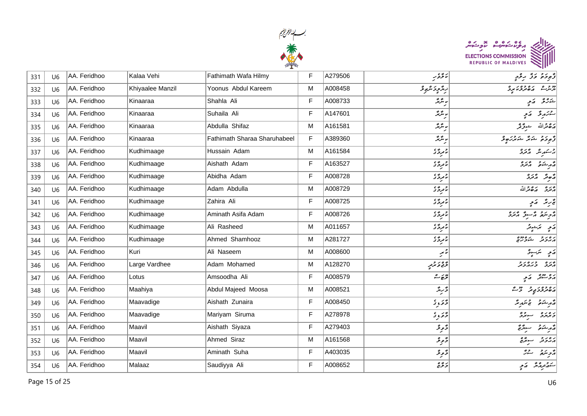



| 331 | U <sub>6</sub> | AA. Feridhoo | Kalaa Vehi       | Fathimath Wafa Hilmy         | F  | A279506 | ئەقەرىبە                    | تروخرة الاثر الرقوح               |
|-----|----------------|--------------|------------------|------------------------------|----|---------|-----------------------------|-----------------------------------|
| 332 | U <sub>6</sub> | AA. Feridhoo | Khiyaalee Manzil | Yoonus Abdul Kareem          | Μ  | A008458 | ريژ پېڅه شمېر په            | מכם מסכםתם<br>תייעיים השינותיותים |
| 333 | U <sub>6</sub> | AA. Feridhoo | Kinaaraa         | Shahla Ali                   | F  | A008733 | ىدىشر                       | شروء - مَعٍ                       |
| 334 | U <sub>6</sub> | AA. Feridhoo | Kinaaraa         | Suhaila Ali                  | F  | A147601 | ر متریخه                    | لتزرع مزمج                        |
| 335 | U <sub>6</sub> | AA. Feridhoo | Kinaaraa         | Abdulla Shifaz               | М  | A161581 | ىدىنىگە                     | پرې قرالله خور فر                 |
| 336 | U <sub>6</sub> | AA. Feridhoo | Kinaaraa         | Fathimath Sharaa Sharuhabeel | F  | A389360 | ىرىترىتر                    | ژوده خنگ خنگرهو                   |
| 337 | U <sub>6</sub> | AA. Feridhoo | Kudhimaage       | Hussain Adam                 | М  | A161584 | تورڅ ته                     | پر سکر ملک مرکزی                  |
| 338 | U <sub>6</sub> | AA. Feridhoo | Kudhimaage       | Aishath Adam                 | F. | A163527 | د<br>ما تورگا               | و شهر دره<br>مگر شوه گرفرو        |
| 339 | U <sub>6</sub> | AA. Feridhoo | Kudhimaage       | Abidha Adam                  | F  | A008728 | د پورې                      | أرصائد أرائده                     |
| 340 | U <sub>6</sub> | AA. Feridhoo | Kudhimaage       | Adam Abdulla                 | М  | A008729 | د و په <sup>ي</sup>         | وتره وكامرالله                    |
| 341 | U <sub>6</sub> | AA. Feridhoo | Kudhimaage       | Zahira Ali                   | F  | A008725 | د<br>ما تعری <sup>2</sup> ی | تجربتمر الأمج                     |
| 342 | U <sub>6</sub> | AA. Feridhoo | Kudhimaage       | Aminath Asifa Adam           | F. | A008726 | د<br>ما تعری <sup>2</sup> ی | مزویند می سوژ مرتدد               |
| 343 | U <sub>6</sub> | AA. Feridhoo | Kudhimaage       | Ali Rasheed                  | М  | A011657 | د<br>ما تعری <sup>2</sup> ی | أرشح الترشوش                      |
| 344 | U <sub>6</sub> | AA. Feridhoo | Kudhimaage       | Ahmed Shamhooz               | Μ  | A281727 | د وره و<br>ما فرقری         | ره رو دره ده<br>درونر شکورن       |
| 345 | U <sub>6</sub> | AA. Feridhoo | Kuri             | Ali Naseem                   | M  | A008600 | تقمير                       | ړَ په سَرَ پِهِ و                 |
| 346 | U <sub>6</sub> | AA. Feridhoo | Large Vardhee    | Adam Mohamed                 | М  | A128270 | قريع حرمتي                  | وره وره رو<br> مدرد وبرمارو       |
| 347 | U <sub>6</sub> | AA. Feridhoo | Lotus            | Amsoodha Ali                 | F. | A008579 | تتركات ومستكر               | أروحتق أربح                       |
| 348 | U <sub>6</sub> | AA. Feridhoo | Maahiya          | Abdul Majeed Moosa           | М  | A008521 | څ سر پر                     | ره ده در در در م                  |
| 349 | U <sub>6</sub> | AA. Feridhoo | Maavadige        | Aishath Zunaira              | F. | A008450 | څه ځو ځه                    | ومرشوم تمسكر                      |
| 350 | U <sub>6</sub> | AA. Feridhoo | Maavadige        | Mariyam Siruma               | F  | A278978 | رڅو وگه                     | سوپرځ<br>ر ہ بر ہ                 |
| 351 | U <sub>6</sub> | AA. Feridhoo | Maavil           | Aishath Siyaza               | F. | A279403 | ځوچ                         | فدمر يشكونه فلتستريخ              |
| 352 | U <sub>6</sub> | AA. Feridhoo | Maavil           | Ahmed Siraz                  | М  | A161568 | ځوچ                         | سىتمى<br>بروبر و                  |
| 353 | U <sub>6</sub> | AA. Feridhoo | Maavil           | Aminath Suha                 | F  | A403035 | رَّحْمَرْ عَرْ              | ومحر ينموهم                       |
| 354 | U <sub>6</sub> | AA. Feridhoo | Malaaz           | Saudiyya Ali                 | F. | A008652 | ىر ئۇي                      | سنصعر معرضته المتوج               |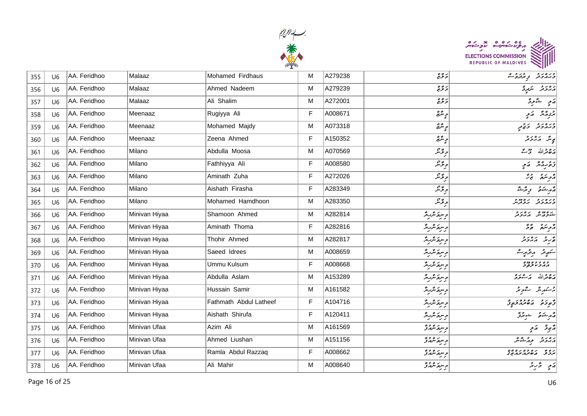



| U <sub>6</sub> | AA. Feridhoo | Malaaz        | Mohamed Firdhaus       | M | A279238 | ىر ئۇي                                       | ويرودو ويرتزون                                                                       |
|----------------|--------------|---------------|------------------------|---|---------|----------------------------------------------|--------------------------------------------------------------------------------------|
| U <sub>6</sub> | AA. Feridhoo | Malaaz        | Ahmed Nadeem           | М | A279239 | ىر ئەھ                                       | أرور و الكريرو                                                                       |
| U <sub>6</sub> | AA. Feridhoo | Malaaz        | Ali Shalim             | М | A272001 | ىر بۇ ە                                      | پر په په شور د                                                                       |
| U <sub>6</sub> | AA. Feridhoo | Meenaaz       | Rugiyya Ali            | F | A008671 | حريثرمج                                      | بر <sub>تو</sub> مهر كمي                                                             |
| U <sub>6</sub> | AA. Feridhoo | Meenaaz       | Mohamed Majdy          | М | A073318 | حريثره                                       | وره رو در در<br>  <i>وبر دو</i> تر الرقم پر                                          |
| U <sub>6</sub> | AA. Feridhoo | Meenaaz       | Zeena Ahmed            | F | A150352 | ح پٿر چ                                      | ىم ئىش كەنگە ئەرت                                                                    |
| U <sub>6</sub> | AA. Feridhoo | Milano        | Abdulla Moosa          | М | A070569 | و دڅمر                                       | أرة قرالله فلحيث                                                                     |
| U <sub>6</sub> | AA. Feridhoo | Milano        | Fathhiyya Ali          | F | A008580 | جرمحمثر                                      | زەپەر كەي                                                                            |
| U <sub>6</sub> | AA. Feridhoo | Milano        | Aminath Zuha           | F | A272026 | و دڅش                                        | یخ ج<br>ومحر يتمدهم                                                                  |
| U <sub>6</sub> | AA. Feridhoo | Milano        | Aishath Firasha        | F | A283349 | جەنجىگە                                      | أقهر منتفر ومحمش                                                                     |
| U <sub>6</sub> | AA. Feridhoo | Milano        | Mohamed Hamdhoon       | М | A283350 | د پژش                                        | وره رو در رودو<br>د بربروتر بروترس                                                   |
| U <sub>6</sub> | AA. Feridhoo | Minivan Hiyaa | Shamoon Ahmed          | М | A282814 | احب عقد بر                                   | شەھ ھەر<br>برورد                                                                     |
| U <sub>6</sub> | AA. Feridhoo | Minivan Hiyaa | Aminath Thoma          | F | A282816 | حە سرە ئىرىدىگە                              | جوًرٌ<br>ړم سرچه                                                                     |
| U <sub>6</sub> | AA. Feridhoo | Minivan Hiyaa | Thohir Ahmed           | М | A282817 | ا <sub>حە مىر</sub> مۇ ئىرىيە <i>د</i>       | ې په پره رو د                                                                        |
| U <sub>6</sub> | AA. Feridhoo | Minivan Hiyaa | Saeed Idrees           | M | A008659 | حر سرعهٔ مثر برگر                            | سكھيڈ پریڈیپرے                                                                       |
| U <sub>6</sub> | AA. Feridhoo | Minivan Hiyaa | Ummu Kulsum            | F | A008668 |                                              | 0 32 0 2 2 0 2<br>RR C 4 L B L                                                       |
| U <sub>6</sub> | AA. Feridhoo | Minivan Hiyaa | Abdulla Aslam          | М | A153289 | ا <sub>حە مو</sub> رۇ تەرىرد                 | مەھىراللە<br>برسىدى                                                                  |
| U <sub>6</sub> | AA. Feridhoo | Minivan Hiyaa | Hussain Samir          | М | A161582 |                                              | يزڪيرنگر ڪرير                                                                        |
| U <sub>6</sub> | AA. Feridhoo | Minivan Hiyaa | Fathmath Abdul Latheef | F | A104716 | ا <sub>حە مىر</sub> مۇ تىرىيە <del>گ</del> ە | أزوده مقصد مدونج                                                                     |
| U <sub>6</sub> | AA. Feridhoo | Minivan Hiyaa | Aishath Shirufa        | F | A120411 | ا <sub>حە م</sub> ىرىھ تىرىپە <del>ر</del>   | ۇرىشكى ھومرى<br>م                                                                    |
| U <sub>6</sub> | AA. Feridhoo | Minivan Ufaa  | Azim Ali               | м | A161569 | ج سره که مرکز                                | ړې په کې                                                                             |
| U <sub>6</sub> | AA. Feridhoo | Minivan Ufaa  | Ahmed Liushan          | М | A151156 | ا <sub>حە مىر</sub> ھەر قەتتى<br>م           | أرورو وارتقش                                                                         |
| U <sub>6</sub> | AA. Feridhoo | Minivan Ufaa  | Ramla Abdul Razzaq     | F | A008662 |                                              | נים ניסיפים בסיף                                                                     |
| U <sub>6</sub> | AA. Feridhoo | Minivan Ufaa  | Ali Mahir              | M | A008640 |                                              | پر په د د تر پر                                                                      |
|                |              |               |                        |   |         |                                              | ا <sub>جە موع</sub> كرىدۇ.<br>م<br>احە سەنگەرىدە<br>س<br>ادبىرە ئىقتى<br>ادبىرە ئىدۇ |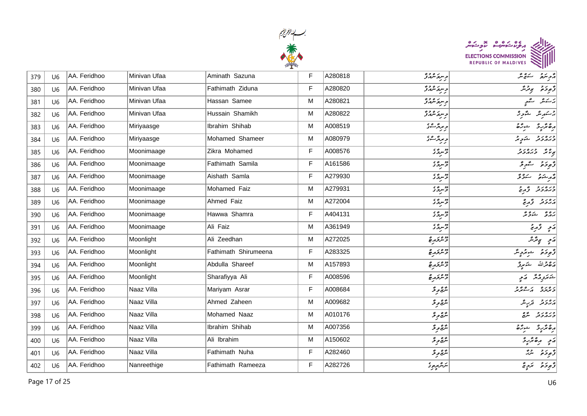



| 379 | U <sub>6</sub> | AA. Feridhoo | Minivan Ufaa | Aminath Sazuna       | F | A280818 | ار سرځ ش <b>ر</b> مڙ           | سەھ يىگە<br>أوجبه شرقهم          |
|-----|----------------|--------------|--------------|----------------------|---|---------|--------------------------------|----------------------------------|
| 380 | U <sub>6</sub> | AA. Feridhoo | Minivan Ufaa | Fathimath Ziduna     | F | A280820 | حە سرەڭ ش <i>ەر ۋ</i>          | توجوحتمو سي ترتثر                |
| 381 | U <sub>6</sub> | AA. Feridhoo | Minivan Ufaa | Hassan Samee         | M | A280821 | ا <sub>حەس</sub> ىھ شەرقە      | پرستمبر استمو                    |
| 382 | U <sub>6</sub> | AA. Feridhoo | Minivan Ufaa | Hussain Shamikh      | М | A280822 | ا <sub>جە مىرە</sub> ئەدىر     | 2سكىرىنقر مىشمر 2                |
| 383 | U <sub>6</sub> | AA. Feridhoo | Miriyaasge   | Ibrahim Shihab       | М | A008519 | ح مروگر صحی                    |                                  |
| 384 | U <sub>6</sub> | AA. Feridhoo | Miriyaasge   | Mohamed Shameer      | М | A080979 | اح بروژگروی<br>پر              | ورەر د شرې                       |
| 385 | U <sub>6</sub> | AA. Feridhoo | Moonimaage   | Zikra Mohamed        | F | A008576 | دو په په<br>د سرچ <sub>ک</sub> | پر ره در در د                    |
| 386 | U <sub>6</sub> | AA. Feridhoo | Moonimaage   | Fathimath Samila     | F | A161586 | دو په په<br>د سرچ ک            | وَجوحَة سُنَّحْرِ قَ             |
| 387 | U <sub>6</sub> | AA. Feridhoo | Moonimaage   | Aishath Samla        | F | A279930 | دد پرځ ی<br>څېرچنۍ             | سترونژ<br>لقمر يئمقه             |
| 388 | U <sub>6</sub> | AA. Feridhoo | Moonimaage   | Mohamed Faiz         | М | A279931 | ود سرچ <sub>ک</sub>            | دره در و ژبر د                   |
| 389 | U <sub>6</sub> | AA. Feridhoo | Moonimaage   | Ahmed Faiz           | М | A272004 | دد پرځ ی<br>څېرچنۍ             | دەر د ژېرچ                       |
| 390 | U <sub>6</sub> | AA. Feridhoo | Moonimaage   | Hawwa Shamra         | F | A404131 | ود سرچ <sub>ک</sub>            | برە بە شەھ بىر                   |
| 391 | U <sub>6</sub> | AA. Feridhoo | Moonimaage   | Ali Faiz             | М | A361949 | دو په په<br>تر سرچنۍ           | پَه په رُورِي                    |
| 392 | U <sub>6</sub> | AA. Feridhoo | Moonlight    | Ali Zeedhan          | М | A272025 | وممرخره                        | رَمِي سِمَّرْ مَرْ مِنْ          |
| 393 | U <sub>6</sub> | AA. Feridhoo | Moonlight    | Fathimath Shirumeena | F | A283325 | وممرتزرة                       | ا تو پر بر د<br>مسوندحي مثر      |
| 394 | U <sub>6</sub> | AA. Feridhoo | Moonlight    | Abdulla Shareef      | M | A157893 | ومشرقه فع                      | أَرَّةٍ قَرَّاللَّهُ شَمِّيْتِرُ |
| 395 | U <sub>6</sub> | AA. Feridhoo | Moonlight    | Sharafiyya Ali       | F | A008596 | ومشرقه وهج                     | ے پرورش کے پر                    |
| 396 | U <sub>6</sub> | AA. Feridhoo | Naaz Villa   | Mariyam Asrar        | F | A008684 | مثر بحرو قر                    | גפגם גם בב                       |
| 397 | U <sub>6</sub> | AA. Feridhoo | Naaz Villa   | Ahmed Zaheen         | M | A009682 | مثر بحرو قر                    | پرور و پرچ                       |
| 398 | U <sub>6</sub> | AA. Feridhoo | Naaz Villa   | Mohamed Naaz         | М | A010176 | مترچ عریحه                     | ورەرو شى                         |
| 399 | U <sub>6</sub> | AA. Feridhoo | Naaz Villa   | Ibrahim Shihab       | М | A007356 | مترچ عرقحه                     | برڭ ئۆر ئە<br>شەرگەنچ            |
| 400 | U <sub>6</sub> | AA. Feridhoo | Naaz Villa   | Ali Ibrahim          | М | A150602 | مترچ عرقحه                     | أريج وكالحميرة                   |
| 401 | U <sub>6</sub> | AA. Feridhoo | Naaz Villa   | Fathimath Nuha       | F | A282460 | مترچ عرقحه                     | سرتر<br>  د څېو خه و             |
| 402 | U <sub>6</sub> | AA. Feridhoo | Nanreethige  | Fathimath Rameeza    | F | A282726 | ىئەتىرىدى<br>مەنگە             | وَّجوحَهُ مَ مَرْحٍ مَّ          |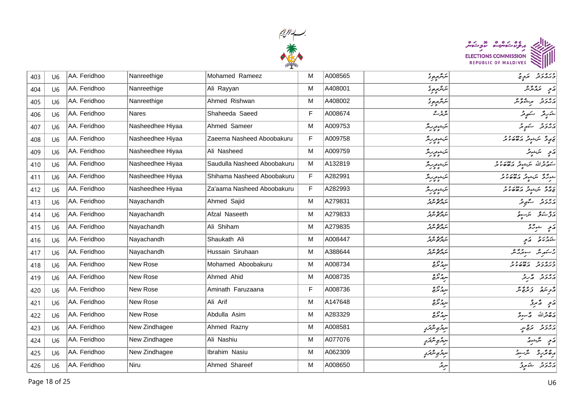



| 403 | U <sub>6</sub> | AA. Feridhoo | Nanreethige      | Mohamed Rameez              | м | A008565 | ىئەتىرىدى<br>م                             | در در د پر پر د                                                                                      |
|-----|----------------|--------------|------------------|-----------------------------|---|---------|--------------------------------------------|------------------------------------------------------------------------------------------------------|
| 404 | U <sub>6</sub> | AA. Feridhoo | Nanreethige      | Ali Rayyan                  | M | A408001 | پر ه<br>سرمگر پر مو                        | أە ئەرەبىر                                                                                           |
| 405 | U <sub>6</sub> | AA. Feridhoo | Nanreethige      | Ahmed Rishwan               | M | A408002 | ىئەتىرىدى<br>م                             | دەرو برېشوگىر                                                                                        |
| 406 | U <sub>6</sub> | AA. Feridhoo | <b>Nares</b>     | Shaheeda Saeed              | F | A008674 | ىترىر ھ                                    | شَرِيرٌ سَهِيرٌ                                                                                      |
| 407 | U <sub>6</sub> | AA. Feridhoo | Nasheedhee Hiyaa | Ahmed Sameer                | м | A009753 | ىكرىشەتىرىرەگە<br>ئەسىمەسىر                | أرور والمستوير                                                                                       |
| 408 | U <sub>6</sub> | AA. Feridhoo | Nasheedhee Hiyaa | Zaeema Nasheed Aboobakuru   | F | A009758 | ىترىشەتىرىرەتمە<br>ئەسىمەت                 | <i>אַ בְּ</i> ב תוֹיבְנַת תוספיות                                                                    |
| 409 | U <sub>6</sub> | AA. Feridhoo | Nasheedhee Hiyaa | Ali Nasheed                 | M | A009759 | ىكرىشوتىرىرىگە<br>ئەسىرىيە بەر             | أركمني الكريشوقر                                                                                     |
| 410 | U <sub>6</sub> | AA. Feridhoo | Nasheedhee Hiyaa | Saudulla Nasheed Aboobakuru | м | A132819 | سکرے ور ریگر<br>پیمونی کر                  | محمد الله سَ بشونه محدد د د<br>  مسور تعر الله سَ بشونه محدد معر                                     |
| 411 | U <sub>6</sub> | AA. Feridhoo | Nasheedhee Hiyaa | Shihama Nasheed Aboobakuru  | F | A282991 | سکرے ور ریگر<br>پر پر سر                   | شر محمد المسلم المتحدة و و در و و المسلم المسلم المسلم المسلم المسلم المسلم المسلم المسلم المسلم الم |
| 412 | U <sub>6</sub> | AA. Feridhoo | Nasheedhee Hiyaa | Za'aama Nasheed Aboobakuru  | F | A282993 | ىكرىشەتىرىرەگە<br>ئەسىمەسىر                | י מי הלייני המיני                                                                                    |
| 413 | U <sub>6</sub> | AA. Feridhoo | Nayachandh       | Ahmed Sajid                 | M | A279831 | ىر پەرتى بىر بىر<br>سىرتىر <i>گى</i> ر بىر | رەر ئەيرتى                                                                                           |
| 414 | U <sub>6</sub> | AA. Feridhoo | Nayachandh       | Afzal Naseeth               | м | A279833 | ىر پەرتى بىر بىر<br>سىرتىر <i>گى</i> ر بىر | أروث والتمريح الترسيع                                                                                |
| 415 | U <sub>6</sub> | AA. Feridhoo | Nayachandh       | Ali Shiham                  | м | A279835 | ىر پەرتە 20<br>سىرتىر كۆسىرلىر             | أركمني المسترجمة                                                                                     |
| 416 | U <sub>6</sub> | AA. Feridhoo | Nayachandh       | Shaukath Ali                | м | A008447 | ىر بەردە جە<br>سىرتىر كەشىرلىر             | شەمرىق مەي                                                                                           |
| 417 | U <sub>6</sub> | AA. Feridhoo | Nayachandh       | Hussain Siruhaan            | М | A388644 | ىر بەردە جە<br>سىرتىر كەشىرلىر             | سوبرژیژ<br>لجي ڪهرينگر                                                                               |
| 418 | U <sub>6</sub> | AA. Feridhoo | New Rose         | Mohamed Aboobakuru          | м | A008734 | سروره                                      | 77/27/<br>  <i>د بر ه ب</i> ر و<br>  <del>ز</del> بر بر <del>د</del> ر                               |
| 419 | U <sub>6</sub> | AA. Feridhoo | New Rose         | Ahmed Ahid                  | M | A008735 | سروره                                      | أرەر ئەرقر                                                                                           |
| 420 | U <sub>6</sub> | AA. Feridhoo | New Rose         | Aminath Faruzaana           | F | A008736 | سروره<br>سروندی                            | ۇ ئەيچ يىگە<br>أثرحه يترقه                                                                           |
| 421 | U <sub>6</sub> | AA. Feridhoo | New Rose         | Ali Arif                    | M | A147648 | سروجو                                      | رَمِي رَمَّسِرُ                                                                                      |
| 422 | U <sub>6</sub> | AA. Feridhoo | New Rose         | Abdulla Asim                | м | A283329 | سرومي                                      | <mark>بر25</mark> الله<br>رژیبەۋ                                                                     |
| 423 | U <sub>6</sub> | AA. Feridhoo | New Zindhagee    | Ahmed Razny                 | M | A008581 | سروحي شرقدي                                | كرەر ئەسكە ئىسكى ئىس                                                                                 |
| 424 | U <sub>6</sub> | AA. Feridhoo | New Zindhagee    | Ali Nashiu                  | м | A077076 | سرد حمير شروري                             | رَمِ سَنَ وَيَ                                                                                       |
| 425 | U <sub>6</sub> | AA. Feridhoo | New Zindhagee    | Ibrahim Nasiu               | м | A062309 | سرد حمير شرور په په                        | رە ئ <sup>ۆ</sup> رۈ<br>يترسسه                                                                       |
| 426 | U <sub>6</sub> | AA. Feridhoo | Niru             | Ahmed Shareef               | М | A008650 | سریر                                       | أرەر بە ئەبرۇ                                                                                        |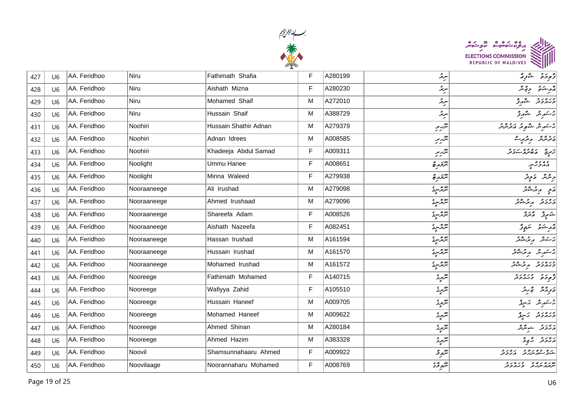



| U <sub>6</sub> | AA. Feridhoo | <b>Niru</b> | Fathimath Shafia      | F | A280199 | سریڅه                  | ۇي <sub>و</sub> دۇ ش <sub>ۇر</sub> ۇ          |
|----------------|--------------|-------------|-----------------------|---|---------|------------------------|-----------------------------------------------|
| U <sub>6</sub> | AA. Feridhoo | <b>Niru</b> | Aishath Mizna         | F | A280230 | سریر                   | ومريضي وجانتر                                 |
| U <sub>6</sub> | AA. Feridhoo | <b>Niru</b> | Mohamed Shaif         | М | A272010 | سرچر                   | ورەرو شەرۋ                                    |
| U <sub>6</sub> | AA. Feridhoo | <b>Niru</b> | Hussain Shaif         | М | A388729 | سریر                   | برستهر شهرو                                   |
| U <sub>6</sub> | AA. Feridhoo | Noohiri     | Hussain Shathir Adnan | М | A279379 | دد<br>متزبر سر         | برستنز مراجي بالمحمد وكالمرتكس                |
| U <sub>6</sub> | AA. Feridhoo | Noohiri     | Adnan Idrees          | М | A008585 | چوبر بیر<br>سربر       | پرورشر پروژمریے                               |
| U <sub>6</sub> | AA. Feridhoo | Noohiri     | Khadeeja Abdul Samad  | F | A009311 | متزبر بير<br>سربر      | زىر ئەھەر بەر                                 |
| U <sub>6</sub> | AA. Feridhoo | Noolight    | Ummu Hanee            | F | A008651 | يربزمرغ                | - ده د ژمېر<br>ا                              |
| U <sub>6</sub> | AA. Feridhoo | Noolight    | Minna Waleed          | F | A279938 | پرېزم ه                | ديرينز أوالمحيض                               |
| U <sub>6</sub> | AA. Feridhoo | Nooraaneege | Ali Irushad           | М | A279098 | تر پژمېږي<br>سر پژمېږي | أرزمج ويرتثقند                                |
| U <sub>6</sub> | AA. Feridhoo | Nooraaneege | Ahmed Irushaad        | М | A279096 | مر پڑ سر پر            | أرور وبرشور                                   |
| U <sub>6</sub> | AA. Feridhoo | Nooraaneege | Shareefa Adam         | F | A008526 | دو پر<br>مربر سرپر     | شەرۇ ھەرە                                     |
| U <sub>6</sub> | AA. Feridhoo | Nooraaneege | Aishath Nazeefa       | F | A082451 | تر پژمېږي<br>سر پژمېږي | مەرخىق سەرتى                                  |
| U <sub>6</sub> | AA. Feridhoo | Nooraaneege | Hassan Irushad        | M | A161594 | تر پژمېږي              | پرستمبر مرسم مقرمتر                           |
| U <sub>6</sub> | AA. Feridhoo | Nooraaneege | Hussain Irushad       | М | A161570 | تر پژمېږي<br>سر پژمېږي | برسكريش ويرحدهم                               |
| U <sub>6</sub> | AA. Feridhoo | Nooraaneege | Mohamed Irushad       | М | A161572 | تر پژمېږي              | ورەر د د مخت<br>دىرمەدىر بەيمىشگ              |
| U <sub>6</sub> | AA. Feridhoo | Nooreege    | Fathimath Mohamed     | F | A140715 | دو<br>مترسر پر         | أو د د دره د و                                |
| U <sub>6</sub> | AA. Feridhoo | Nooreege    | Wafiyya Zahid         | F | A105510 | دو<br>مترسر پر         | تزوره محمر                                    |
| U <sub>6</sub> | AA. Feridhoo | Nooreege    | Hussain Haneef        | М | A009705 | دو<br>مترسر پر         | چە سەر سىر كەسىر ئە                           |
| U <sub>6</sub> | AA. Feridhoo | Nooreege    | Mohamed Haneef        | М | A009622 | دو<br>مترسمي پر        | ورەرو بەيدۇ                                   |
| U <sub>6</sub> | AA. Feridhoo | Nooreege    | Ahmed Shinan          | М | A280184 | دو<br>مترسوری          | رەرد جېشرىر                                   |
| U <sub>6</sub> | AA. Feridhoo | Nooreege    | Ahmed Hazim           | M | A383328 | دو<br>مترسر پر         | أرور والمجموع                                 |
| U <sub>6</sub> | AA. Feridhoo | Noovil      | Shamsunnahaaru Ahmed  | F | A009922 | يتر <sub>عر</sub> قر   | ره وه رو د ره رو<br>خوش سهر سربر بر ابر بروتر |
| U <sub>6</sub> | AA. Feridhoo | Noovilaage  | Noorannaharu Mohamed  | F | A008769 | يتر <sub>حو</sub> عرى  | מנים נישים - כניסונים                         |
|                |              |             |                       |   |         |                        |                                               |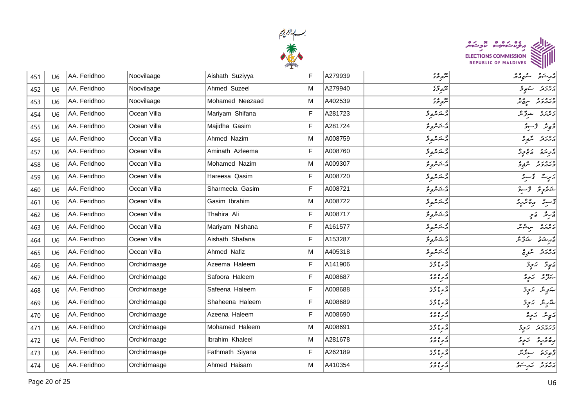



| 451 | U <sub>6</sub> | AA. Feridhoo | Noovilaage  | Aishath Suziyya | F | A279939 | دد په په<br>سرع څه                             | أقرم يشكاهي المستمير ورقر                |
|-----|----------------|--------------|-------------|-----------------|---|---------|------------------------------------------------|------------------------------------------|
| 452 | U <sub>6</sub> | AA. Feridhoo | Noovilaage  | Ahmed Suzeel    | M | A279940 | دو په په<br>سرچ څرنه                           | پرەرد ھەر                                |
| 453 | U <sub>6</sub> | AA. Feridhoo | Noovilaage  | Mohamed Neezaad | м | A402539 | پژ <sub>ھر مح</sub> ری                         | و ر ه ر د<br>تر پر ژنر<br>سرچ و          |
| 454 | U <sub>6</sub> | AA. Feridhoo | Ocean Villa | Mariyam Shifana | F | A281723 | م<br>اړسهٔ مر <sub>عو</sub> محه                | ىز جر پر د<br>ىش <sub>ت</sub> وگرىگر     |
| 455 | U <sub>6</sub> | AA. Feridhoo | Ocean Villa | Majidha Gasim   | F | A281724 | میں شر <sub>ا</sub> ع قر                       | دَّىمٍ دَّر - دِّر د                     |
| 456 | U <sub>6</sub> | AA. Feridhoo | Ocean Villa | Ahmed Nazim     | м | A008759 | ە ئەيئىسى ئىسىمب <sup>ى</sup> ر                | ترژد تر<br>سَّرْمُ ح                     |
| 457 | U <sub>6</sub> | AA. Feridhoo | Ocean Villa | Aminath Azleema | F | A008760 |                                                | أمجر يترة مستحيرة                        |
| 458 | U <sub>6</sub> | AA. Feridhoo | Ocean Villa | Mohamed Nazim   | M | A009307 | م<br>مشاهیم محمد محمد محمد                     | و ر ه ر و<br>تر پر ژ تر<br>سگفجر مح      |
| 459 | U <sub>6</sub> | AA. Feridhoo | Ocean Villa | Hareesa Qasim   | F | A008720 | ە ئەيەتىرى <i>م</i> ۇ ئى                       | ى <sub>كىم</sub> ىگە قۇسۇم               |
| 460 | U <sub>6</sub> | AA. Feridhoo | Ocean Villa | Sharmeela Gasim | F | A008721 | میں شر <sub>ا</sub> ع قر                       | لمتعرفي والمحاسرة                        |
| 461 | U <sub>6</sub> | AA. Feridhoo | Ocean Villa | Gasim Ibrahim   | M | A008722 | ارىمى ئىسى ئىرىگە<br>مەسىسى ئىسى               | تخسره رەممىيە                            |
| 462 | U <sub>6</sub> | AA. Feridhoo | Ocean Villa | Thahira Ali     | F | A008717 | ئەينە ئى <sup>ق</sup> رى <i>م</i> ى ئى         | ېږمنه ړې                                 |
| 463 | U <sub>6</sub> | AA. Feridhoo | Ocean Villa | Mariyam Nishana | F | A161577 | مجمعہ شمعہ پیمر<br>  <br>مراجعہ مقبل مقبل مقبل | ر ه بر ه<br><del>د</del> بربرگ<br>سرڪيٽر |
| 464 | U <sub>6</sub> | AA. Feridhoo | Ocean Villa | Aishath Shafana | F | A153287 | میں شر <sub>ا</sub> ع قر                       | لأبر ڪئو ڪوڙنگر                          |
| 465 | U <sub>6</sub> | AA. Feridhoo | Ocean Villa | Ahmed Nafiz     | M | A405318 | رم شەمى <i>گە</i> ئە                           | أتراد والمتحفي                           |
| 466 | U <sub>6</sub> | AA. Feridhoo | Orchidmaage | Azeema Haleem   | F | A141906 | ه موء دي<br>مربع څنو                           | ړې په پرېږ                               |
| 467 | U <sub>6</sub> | AA. Feridhoo | Orchidmaage | Safoora Haleem  | F | A008687 | ه موء دي<br>مربع څرن                           | پەرىژ ئېر ئەر يە                         |
| 468 | U <sub>6</sub> | AA. Feridhoo | Orchidmaage | Safeena Haleem  | F | A008688 | ه موء دي<br>مربع څنو                           | بذريد الايرو                             |
| 469 | U <sub>6</sub> | AA. Feridhoo | Orchidmaage | Shaheena Haleem | F | A008689 | ه موء دي<br>مربع څرن                           | ڪرپٽر کوچو                               |
| 470 | U <sub>6</sub> | AA. Feridhoo | Orchidmaage | Azeena Haleem   | F | A008690 | ه<br>د سره څه                                  | ړې پر ټوپو                               |
| 471 | U <sub>6</sub> | AA. Feridhoo | Orchidmaage | Mohamed Haleem  | M | A008691 | ه<br>د سره څه                                  | دره رو در پرو                            |
| 472 | U <sub>6</sub> | AA. Feridhoo | Orchidmaage | Ibrahim Khaleel | M | A281678 | ه<br>د سره څه                                  | رەپرىي زىيد                              |
| 473 | U <sub>6</sub> | AA. Feridhoo | Orchidmaage | Fathmath Siyana | F | A262189 | ه وه وه<br>مربع څ                              | سىدە ئىگە<br>و په پر د<br>ترجو څخه       |
| 474 | U <sub>6</sub> | AA. Feridhoo | Orchidmaage | Ahmed Haisam    | M | A410354 | ه<br>د سره څه                                  | برەرد بەرىدۇ                             |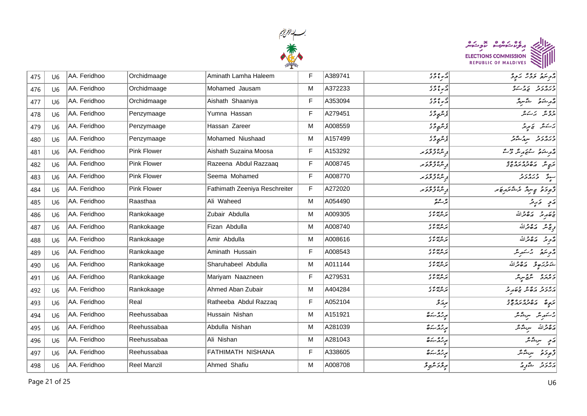



| U <sub>6</sub> | AA. Feridhoo | Orchidmaage        | Aminath Lamha Haleem          | F  | A389741 | 0.<br> دسمونه څونه                       | أأوبته ووالا بربول                    |
|----------------|--------------|--------------------|-------------------------------|----|---------|------------------------------------------|---------------------------------------|
| U <sub>6</sub> | AA. Feridhoo | Orchidmaage        | Mohamed Jausam                | М  | A372233 | ه و و و ،<br>مربع څنې                    | ورەر د درە                            |
| U <sub>6</sub> | AA. Feridhoo | Orchidmaage        | Aishath Shaaniya              | F  | A353094 | ەر مەم<br>كەبىر ئەخرى                    | مەرىشكى ئىشىر                         |
| U <sub>6</sub> | AA. Feridhoo | Penzymaage         | Yumna Hassan                  | F. | A279451 | ئۇيرىم ئەڭ ئ                             | أرونتر الرسكاند                       |
| U <sub>6</sub> | AA. Feridhoo | Penzymaage         | Hassan Zareer                 | М  | A008559 | ئۇيرىم ئەڭ ئە                            | ىرىكەش ئۇيرىر                         |
| U <sub>6</sub> | AA. Feridhoo | Penzymaage         | Mohamed Niushaad              | М  | A157499 | ئۇيرىم ئەڭ ئ                             | כנים ניפ<br>כמונכני ייטל בניפ         |
| U <sub>6</sub> | AA. Feridhoo | <b>Pink Flower</b> | Aishath Suzaina Moosa         | F. | A153292 | و ۵ <i>۰۵ و پ</i> ې<br>بر سربرنو څرمه پر | ۇرىشقى سىھرىر ۋى                      |
| U <sub>6</sub> | AA. Feridhoo | <b>Pink Flower</b> | Razeena Abdul Razzaaq         | F. | A008745 | بو يېزىقۇ ئۆزىمە                         |                                       |
| U <sub>6</sub> | AA. Feridhoo | <b>Pink Flower</b> | Seema Mohamed                 | F. | A008770 | بو يىرىمۇ ئۆتۈ ئىر                       | په دره دره<br>  په درماه              |
| U <sub>6</sub> | AA. Feridhoo | <b>Pink Flower</b> | Fathimath Zeeniya Reschreiter | F. | A272020 | بر يىرىن تۈگۈ ئىر                        | قهودة بإسرة لمشواه والمستقصر          |
| U <sub>6</sub> | AA. Feridhoo | Raasthaa           | Ali Waheed                    | М  | A054490 | پۇ رەپ<br>ئىرىسى <i>م</i> ۇ              | ړکو کړې                               |
| U <sub>6</sub> | AA. Feridhoo | Rankokaage         | Zubair Abdulla                | М  | A009305 | ر ٥ پر <i>٥ ٤</i><br>برس <i>ما د</i>     | يح صَمْرِ يَحْرُ اللَّهُ ۖ            |
| U <sub>6</sub> | AA. Feridhoo | Rankokaage         | Fizan Abdulla                 | М  | A008740 | ر ٥ پر <i>٥ ٤</i><br>برس <i>ما د</i>     | ويجمد كده قرالله                      |
| U <sub>6</sub> | AA. Feridhoo | Rankokaage         | Amir Abdulla                  | М  | A008616 | ر ٥ پر <i>٥ ٤</i><br>برس <i>در د</i>     | قرحريحه وكافقالله                     |
| U <sub>6</sub> | AA. Feridhoo | Rankokaage         | Aminath Hussain               | F  | A008543 | ر ۵ پر ۵ پر<br>برس را ر                  | ۇچرىئى ئەسكىرىش                       |
| U <sub>6</sub> | AA. Feridhoo | Rankokaage         | Sharuhabeel Abdulla           | М  | A011144 | ر ۵ پر دی<br>بر سرد در د                 | خە <i>نزىكى مۇھ</i> تراللە            |
| U <sub>6</sub> | AA. Feridhoo | Rankokaage         | Mariyam Naazneen              | F. | A279531 | ر ه پر د پر<br>بر سربر ر <sub>ک</sub>    | دەرە شىرسى                            |
| U <sub>6</sub> | AA. Feridhoo | Rankokaage         | Ahmed Aban Zubair             | M  | A404284 | ر ٥ پر <i>٥ ٤</i><br>برس <i>ما د</i>     | י סיד ני פי כל בי                     |
| U <sub>6</sub> | AA. Feridhoo | Real               | Ratheeba Abdul Razzaq         | F. | A052104 | بربر و                                   | ر و ده ده ده وي.<br>مرمون من ترم مرمر |
| U <sub>6</sub> | AA. Feridhoo | Reehussabaa        | Hussain Nishan                | М  | A151921 | بررم برهٔ                                | برحتىرىكى سيقتل                       |
| U <sub>6</sub> | AA. Feridhoo | Reehussabaa        | Abdulla Nishan                | М  | A281039 | برره شهرهٔ                               | وكحقرالله<br>سرىشەشر                  |
| U <sub>6</sub> | AA. Feridhoo | Reehussabaa        | Ali Nishan                    | М  | A281043 | ىر زەم بەھ                               | رَمِي سِيشَمَّر                       |
| U <sub>6</sub> | AA. Feridhoo | Reehussabaa        | <b>FATHIMATH NISHANA</b>      | F  | A338605 |                                          | قرموخاته المستشر                      |
| U <sub>6</sub> | AA. Feridhoo | <b>Reel Manzil</b> | Ahmed Shafiu                  | М  | A008708 | ىر دىگە دى                               | برەر د شۇر چ                          |
|                |              |                    |                               |    |         |                                          | ابرده بنه                             |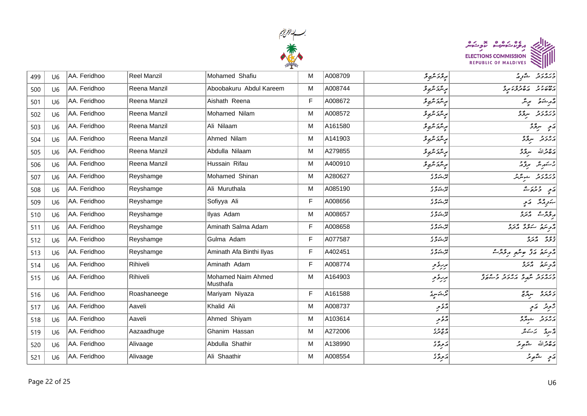



| 499 | U <sub>6</sub> | AA. Feridhoo        | <b>Reel Manzil</b> | Mohamed Shafiu                 | М  | A008709 | ىر دىگە دى                               | ورەر د شگېر چ                                  |
|-----|----------------|---------------------|--------------------|--------------------------------|----|---------|------------------------------------------|------------------------------------------------|
| 500 | U <sub>6</sub> | AA. Feridhoo        | Reena Manzil       | Aboobakuru Abdul Kareem        | М  | A008744 | ىرىئە ئەھمىي قە                          | גמג כפי גם כסגם                                |
| 501 | U <sub>6</sub> | AA. Feridhoo        | Reena Manzil       | Aishath Reena                  | F. | A008672 | <sub>ا</sub> بېرىئەنجە ئىرىگىر           | أقمر شدة وسيتر                                 |
| 502 | U <sub>6</sub> | AA. Feridhoo        | Reena Manzil       | Mohamed Nilam                  | М  | A008572 | ىرىد ئەر ئىر ئى                          | و ره ر د<br><i>د ب</i> رگرفر<br>سربۇر          |
| 503 | U <sub>6</sub> | AA. Feridhoo        | Reena Manzil       | Ali Nilaam                     | М  | A161580 | ىر ئەڭرىكى بۇ                            | رَ پِهِ سِرِدَّدُ                              |
| 504 | U <sub>6</sub> | AA. Feridhoo        | Reena Manzil       | Ahmed Nilam                    | М  | A141903 | ىرىدى ئىر ئو ئى                          | سربۇر<br>بر 2 د حر<br>مربر <del>5</del> مر     |
| 505 | U <sub>6</sub> | AA. Feridhoo        | Reena Manzil       | Abdulla Nilaam                 | м  | A279855 | ىر ئەڭ ئىرى بى                           | صقعرالله<br>سربۇر                              |
| 506 | U <sub>6</sub> | AA. Feridhoo        | Reena Manzil       | Hussain Rifau                  | М  | A400910 | ىر ئەڭ ئىرى بى                           | برسكر شرور المرور                              |
| 507 | U <sub>6</sub> | AA. Feridhoo        | Reyshamge          | Mohamed Shinan                 | М  | A280627 | ى شەھ ئ                                  | ورەرو ھېرگر                                    |
| 508 | U <sub>6</sub> | AA. Feridhoo        | Reyshamge          | Ali Muruthala                  | М  | A085190 | ى دىرە ،<br>ئىرىشىۋى                     | أرتمج المحرمة وكرائية                          |
| 509 | U <sub>6</sub> | AA. Feridhoo        | Reyshamge          | Sofiyya Ali                    | F. | A008656 | ى يەرە ئ                                 | ښو د په په                                     |
| 510 | U <sub>6</sub> | AA. Feridhoo        | Reyshamge          | Ilyas Adam                     | М  | A008657 | ى دىم ە ئ<br>مۇستىۋى                     | أرقته في المحدة                                |
| 511 | U <sub>6</sub> | AA. Feridhoo        | Reyshamge          | Aminath Salma Adam             | F  | A008658 | در دره د<br>مرشو <del>ر</del> د          | أأديره سودة أدره                               |
| 512 | U <sub>6</sub> | AA. Feridhoo        | Reyshamge          | Gulma Adam                     | F. | A077587 | ي پره ۽<br>مرڪور                         | وه بوره<br>تح <b>ر</b> د م <i>ر</i> در         |
| 513 | U <sub>6</sub> | AA. Feridhoo        | Reyshamge          | Aminath Afa Binthi Ilyas       | F  | A402451 | ي پره ۽<br>مرڪور                         | أزوينه أرزأ وملمج الرقائب                      |
| 514 | U <sub>6</sub> | AA. Feridhoo        | Rihiveli           | Aminath Adam                   | F. | A008774 | ىرىرۇمۇ<br>مەر                           | د پره د ډېره                                   |
| 515 | U <sub>6</sub> | AA. Feridhoo        | Rihiveli           | Mohamed Naim Ahmed<br>Musthafa | М  | A164903 | ىرىرۇمۇ<br>مەر                           | ورەر د په دەر د د در د<br>دېرمرد شمېر مهرد د ب |
| 516 | U <sub>6</sub> | AA. Feridhoo        | Roashaneege        | Mariyam Niyaza                 | F. | A161588 | تريئة سريحه                              | ر ہ ر ہ<br>تر بربر ژ<br>سرترنج                 |
| 517 | U <sub>6</sub> | <b>AA. Feridhoo</b> | Aaveli             | Khalid Ali                     | М  | A008737 | ارحجحر                                   | رٌجونژ کړم په                                  |
| 518 | U <sub>6</sub> | AA. Feridhoo        | Aaveli             | Ahmed Shiyam                   | М  | A103614 | رچم محر                                  | برەرد ئىبرگر                                   |
| 519 | U <sub>6</sub> | AA. Feridhoo        | Aazaadhuge         | Ghanim Hassan                  | М  | A272006 | پر بیچ <del>ت</del> ر ی<br>در سیم تعر پی | ۇ بىر ئەسكەش                                   |
| 520 | U <sub>6</sub> | AA. Feridhoo        | Alivaage           | Abdulla Shathir                | M  | A138990 | پر پوځ                                   | ەھەراللە<br>مشكوبر                             |
| 521 | U <sub>6</sub> | AA. Feridhoo        | Alivaage           | Ali Shaathir                   | M  | A008554 | پر یوری                                  | پر په شمېر پر                                  |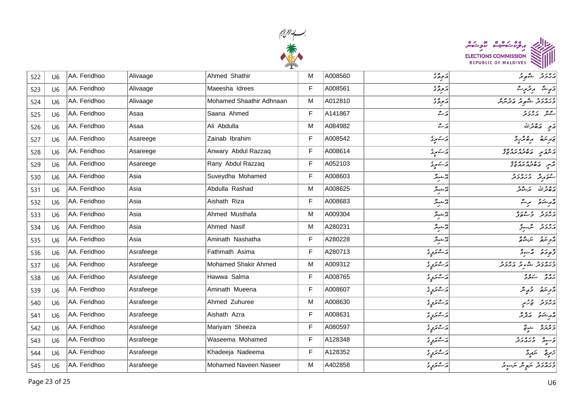



| 522 | U <sub>6</sub> | AA. Feridhoo | Alivaage  | Ahmed Shathir            | M | A008560 | أتزعره                                 | أرور والمحمومة                       |
|-----|----------------|--------------|-----------|--------------------------|---|---------|----------------------------------------|--------------------------------------|
| 523 | U <sub>6</sub> | AA. Feridhoo | Alivaage  | Maeesha Idrees           | F | A008561 | پر پر پر                               | خويش رقربرت                          |
| 524 | U <sub>6</sub> | AA. Feridhoo | Alivaage  | Mohamed Shaathir Adhnaan | м | A012810 | أتروعه                                 | ورەرو ھە ئەرەپەر                     |
| 525 | U <sub>6</sub> | AA. Feridhoo | Asaa      | Saana Ahmed              | F | A141867 | رئە                                    | سەمىر ئەرەبەر                        |
| 526 | U <sub>6</sub> | AA. Feridhoo | Asaa      | Ali Abdulla              | М | A084982 | رئە                                    | أصَعِ صَصْرَاللّه                    |
| 527 | U <sub>6</sub> | AA. Feridhoo | Asareege  | Zainab Ibrahim           | F | A008542 | ە ئەسكە ئىرى                           | تمريحة مقترع                         |
| 528 | U <sub>6</sub> | AA. Feridhoo | Asareege  | Anwary Abdul Razzaq      | F | A008614 | ېر کے پی <sub>و</sub> ی<br>م           | ג פג גם כפגם בם.<br>הייעל מסמג מאיצי |
| 529 | U <sub>6</sub> | AA. Feridhoo | Asareege  | Rany Abdul Razzaq        | F | A052103 | لەسىئەيدى                              | كرس مەمەم مەم<br>ئىس مەھەر مەمى      |
| 530 | U <sub>6</sub> | AA. Feridhoo | Asia      | Suveydha Mohamed         | F | A008603 | ي<br>مر شەدىر                          | جوړه د دره د د                       |
| 531 | U <sub>6</sub> | AA. Feridhoo | Asia      | Abdulla Rashad           | М | A008625 | اند مشودگر<br>م                        | رەقراللە ئىشەر                       |
| 532 | U <sub>6</sub> | AA. Feridhoo | Asia      | Aishath Riza             | F | A008683 | اند منسود پیشر<br>ا                    | قەرشىق برىگە                         |
| 533 | U <sub>6</sub> | AA. Feridhoo | Asia      | Ahmed Musthafa           | М | A009304 | برمشددگر                               | رەرد دەرد                            |
| 534 | U <sub>6</sub> | AA. Feridhoo | Asia      | Ahmed Nasif              | М | A280231 | اند مشودگر<br>م                        | پره پر پر پرو                        |
| 535 | U <sub>6</sub> | AA. Feridhoo | Asia      | Aminath Nashatha         | F | A280228 | پژے وگر                                | أأزويتهم التركيفي                    |
| 536 | U <sub>6</sub> | AA. Feridhoo | Asrafeege | Fathmath Asima           | F | A280713 | ئەسشە ئىرىپ ئە                         | رًمودَة المُسِرَّ                    |
| 537 | U <sub>6</sub> | AA. Feridhoo | Asrafeege | Mohamed Shakir Ahmed     | M | A009312 | تر شه ترو پچ                           | ورەرو ئەرىر مەدو                     |
| 538 | U <sub>6</sub> | AA. Feridhoo | Asrafeege | Hawwa Salma              | F | A008765 | ئەسشە ئىرىپ ئە                         | برە ئەستەر                           |
| 539 | U <sub>6</sub> | AA. Feridhoo | Asrafeege | Aminath Mueena           | F | A008607 | تر شه ترو پچ                           | څ مړ سگر<br>ومحتر سنرو               |
| 540 | U <sub>6</sub> | AA. Feridhoo | Asrafeege | Ahmed Zuhuree            | M | A008630 | ىر س <sup>ە</sup> ئىزى <sub>رى</sub> ئ | پروبر وجر                            |
| 541 | U <sub>6</sub> | AA. Feridhoo | Asrafeege | Aishath Azra             | F | A008631 | ىر س <sup>ە</sup> ئىزى <sub>رى</sub> ئ | أقهر يشتفى الأفرنتر                  |
| 542 | U <sub>6</sub> | AA. Feridhoo | Asrafeege | Mariyam Sheeza           | F | A080597 | لەسشىمزىيە ئە                          | د عرمرو مصوبح                        |
| 543 | U <sub>6</sub> | AA. Feridhoo | Asrafeege | Waseema Mohamed          | F | A128348 | لەسشىمزىي ئە                           | وكسوش وبرورو                         |
| 544 | U <sub>6</sub> | AA. Feridhoo | Asrafeege | Khadeeja Nadeema         | F | A128352 | لەسشىمرىي ئە                           | رَمرِيَّ - سَمَرٍ وَّ                |
| 545 | U <sub>6</sub> | AA. Feridhoo | Asrafeege | Mohamed Naveen Naseer    | М | A402858 | ىر سەئىرى <sub>ر</sub> ،               | ورەرو برەپھر س سير                   |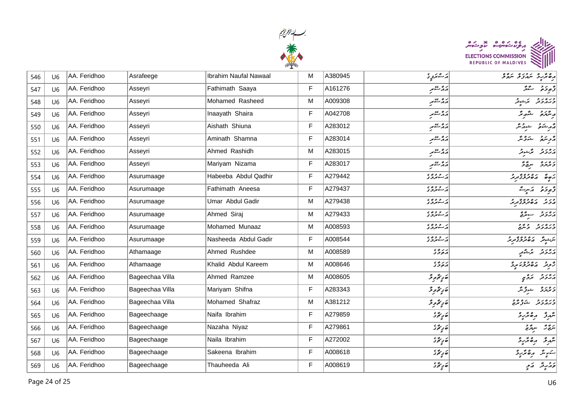



| 546 | U <sub>6</sub> | AA. Feridhoo | Asrafeege       | Ibrahim Naufal Nawaal | M | A380945 | لەسشىمرىرى                           | رە ئرېۋ سەزۇ سۇۋ                                                                                                                                                                                                                 |
|-----|----------------|--------------|-----------------|-----------------------|---|---------|--------------------------------------|----------------------------------------------------------------------------------------------------------------------------------------------------------------------------------------------------------------------------------|
| 547 | U <sub>6</sub> | AA. Feridhoo | Asseyri         | Fathimath Saaya       | F | A161276 | برە يىمبر                            | ۇي <sub>م</sub> وخى ئىگە                                                                                                                                                                                                         |
| 548 | U <sub>6</sub> | AA. Feridhoo | Asseyri         | Mohamed Rasheed       | М | A009308 | لهزه يحمسه                           | ورەرو كەشپەر                                                                                                                                                                                                                     |
| 549 | U <sub>6</sub> | AA. Feridhoo | Asseyri         | Inaayath Shaira       | F | A042708 | اړه معمر                             | ويتكفره المشويت                                                                                                                                                                                                                  |
| 550 | U <sub>6</sub> | AA. Feridhoo | Asseyri         | Aishath Shiuna        | F | A283012 | لمرهمة                               | وكرمشكم المسركر                                                                                                                                                                                                                  |
| 551 | U <sub>6</sub> | AA. Feridhoo | Asseyri         | Aminath Shamna        | F | A283014 | لهزه يحمير                           | أأدوبتكم المشكر الأرامي                                                                                                                                                                                                          |
| 552 | U <sub>6</sub> | AA. Feridhoo | Asseyri         | Ahmed Rashidh         | М | A283015 | لئەھمىسىر                            | رەر دىگەندىر                                                                                                                                                                                                                     |
| 553 | U <sub>6</sub> | AA. Feridhoo | Asseyri         | Mariyam Nizama        | F | A283017 | لهزه يحمير                           | دەرە سەڭ                                                                                                                                                                                                                         |
| 554 | U <sub>6</sub> | AA. Feridhoo | Asurumaage      | Habeeba Abdul Qadhir  | F | A279442 | بر ج و ه »<br>پرسستوری               | ر ده وه ده ده در د کلید در کلید در کلید در کلید از کلید و در کلید و در کلید و کلید و کلید در کلید در کلید و کل<br>امام کلید کلید و کلید و کلید و کلید و کلید و کلید و کلید و کلید و کلید و کلید و کلید و کلید و کلید و کلید و کل |
| 555 | U <sub>6</sub> | AA. Feridhoo | Asurumaage      | Fathimath Aneesa      | F | A279437 | بر ج و ه »<br>پرسته بود د            | وتودة أأسرت                                                                                                                                                                                                                      |
| 556 | U <sub>6</sub> | AA. Feridhoo | Asurumaage      | Umar Abdul Gadir      | М | A279438 | بر ج ج مي د<br>مرگ مرکز <sub>ک</sub> | ور و ده وه و و د                                                                                                                                                                                                                 |
| 557 | U <sub>6</sub> | AA. Feridhoo | Asurumaage      | Ahmed Siraj           | М | A279433 | بر ج ج مي د<br>مرڪبوري               | برەر ئەسىرتى                                                                                                                                                                                                                     |
| 558 | U <sub>6</sub> | AA. Feridhoo | Asurumaage      | Mohamed Munaaz        | М | A008593 | بر ج ج مي د<br>مرڪبوري               | ورەر دەر                                                                                                                                                                                                                         |
| 559 | U <sub>6</sub> | AA. Feridhoo | Asurumaage      | Nasheeda Abdul Gadir  | F | A008544 | ر رو و د ،<br>مرستوری                | <br>  سَرَ شوندَ مَصصر مَرْحَرَ تَور مَر                                                                                                                                                                                         |
| 560 | U <sub>6</sub> | AA. Feridhoo | Athamaage       | Ahmed Rushdee         | M | A008589 | بر بر بر بر<br>مرکوبر <sub>ک</sub>   | رەرو چىشىر                                                                                                                                                                                                                       |
| 561 | U <sub>6</sub> | AA. Feridhoo | Athamaage       | Khalid Abdul Kareem   | M | A008646 | ر ر ه ،<br>د ه <del>ر</del> د        | الجموعر مقاوم معرضا<br>التجمعر مصافر فرند مجرد                                                                                                                                                                                   |
| 562 | U <sub>6</sub> | AA. Feridhoo | Bageechaa Villa | Ahmed Ramzee          | М | A008605 | تۀ په تُوعرُ مَحْر                   | رەر ئەۋىج                                                                                                                                                                                                                        |
| 563 | U <sub>6</sub> | AA. Feridhoo | Bageechaa Villa | Mariyam Shifna        | F | A283343 | تۀ په تُوعر تَرُ                     | ر ه بر ه<br><del>د</del> بربرگر<br><sub>شو</sub> و پژ                                                                                                                                                                            |
| 564 | U <sub>6</sub> | AA. Feridhoo | Bageechaa Villa | Mohamed Shafraz       | М | A381212 | تۀ په تُوعرِ تَرُ                    | وره رو در شرور دو<br>د <i>بر برو تر</i> شرک <i>و بر</i> ی                                                                                                                                                                        |
| 565 | U <sub>6</sub> | AA. Feridhoo | Bageechaage     | Naifa Ibrahim         | F | A279859 | <br>  خونونه                         | شرقر رەشىي                                                                                                                                                                                                                       |
| 566 | U <sub>6</sub> | AA. Feridhoo | Bageechaage     | Nazaha Niyaz          | F | A279861 | ے پہ تو یہ<br> <br>                  | يرمج شمريخ                                                                                                                                                                                                                       |
| 567 | U <sub>6</sub> | AA. Feridhoo | Bageechaage     | Naila Ibrahim         | F | A272002 | <br>  خونونۍ                         | أنثر بحر أرقاني والمحرب                                                                                                                                                                                                          |
| 568 | U <sub>6</sub> | AA. Feridhoo | Bageechaage     | Sakeena Ibrahim       | F | A008618 | <br> خونځۍ                           | برە ئۆرۈ<br>سەَ بېرىتىلە                                                                                                                                                                                                         |
| 569 | U <sub>6</sub> | AA. Feridhoo | Bageechaage     | Thauheeda Ali         | F | A008619 | <br>  تەرىپى تەرىخ                   | ە ئەر ئەر                                                                                                                                                                                                                        |